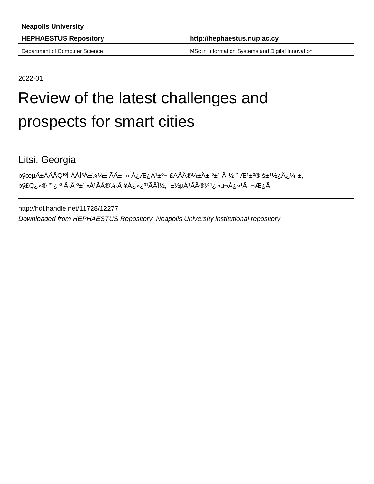Department of Computer Science MSC in Information Systems and Digital Innovation

2022-01

# Review of the latest challenges and prospects for smart cities

Litsi, Georgia

þÿœµÄ±ÀÄÅÇ<sup>1</sup>°Ì ÀÁÌ<sup>3</sup>Á±¼¼± Ãı »·Á¿Æ¿Á<sup>1</sup>±°¬ £ÅÃÄ®¼±Ä± °±<sup>1</sup>Ä·½ ¨·Æ<sup>1</sup>±°  $\forall \psi \in Q \in \mathbb{R}$ <sup>31</sup> ( $\forall \psi \in Q \in \mathbb{R}$ <sup>-o</sup>·Ã·Â º±<sup>1</sup> •À<sup>1</sup>ÃÄ®¼·Â ¥À¿»¿<sup>31</sup>ÃÄĨ½, ±½µÀ<sup>1</sup>ÃÄ®¼<sup>1</sup>¿ •µ¬À¿»<sup>1</sup>Â

http://hdl.handle.net/11728/12277

Downloaded from HEPHAESTUS Repository, Neapolis University institutional repository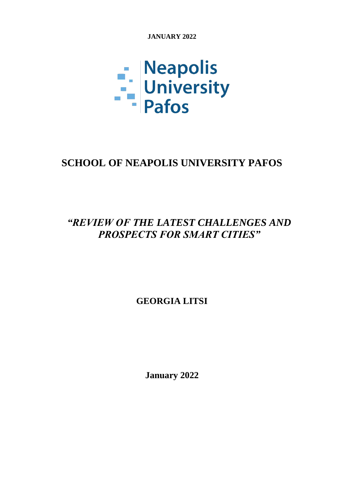**JANUARY 2022**



# **SCHOOL OF NEAPOLIS UNIVERSITY PAFOS**

# *"REVIEW OF THE LATEST CHALLENGES AND PROSPECTS FOR SMART CITIES"*

**GEORGIA LITSI**

**January 2022**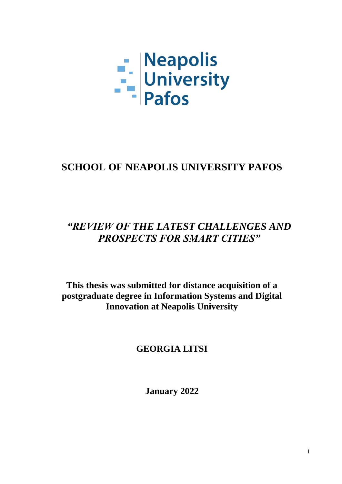

# **SCHOOL OF NEAPOLIS UNIVERSITY PAFOS**

# *"REVIEW OF THE LATEST CHALLENGES AND PROSPECTS FOR SMART CITIES"*

**This thesis was submitted for distance acquisition of a postgraduate degree in Information Systems and Digital Innovation at Neapolis University** 

# **GEORGIA LITSI**

**January 2022**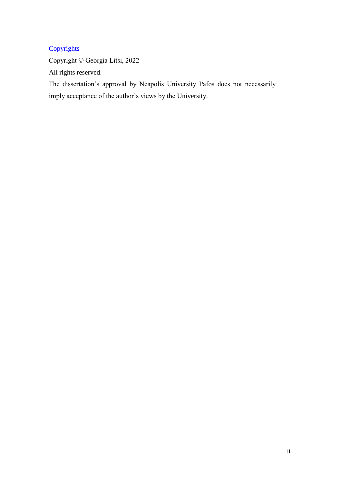# Copyrights

Copyright © Georgia Litsi, 2022

All rights reserved.

The dissertation's approval by Neapolis University Pafos does not necessarily imply acceptance of the author's views by the University.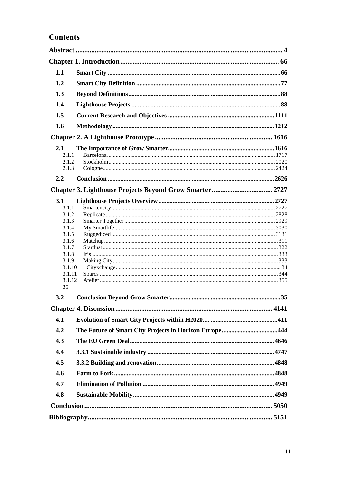# **Contents**

| 1.1              |  |  |  |  |  |  |
|------------------|--|--|--|--|--|--|
| 1.2              |  |  |  |  |  |  |
| 1.3              |  |  |  |  |  |  |
| 1.4              |  |  |  |  |  |  |
| 1.5              |  |  |  |  |  |  |
| 1.6              |  |  |  |  |  |  |
|                  |  |  |  |  |  |  |
|                  |  |  |  |  |  |  |
| 2.1<br>2.1.1     |  |  |  |  |  |  |
| 2.1.2            |  |  |  |  |  |  |
| 2.1.3            |  |  |  |  |  |  |
| $2.2\phantom{0}$ |  |  |  |  |  |  |
|                  |  |  |  |  |  |  |
| <b>3.1</b>       |  |  |  |  |  |  |
| 3.1.1            |  |  |  |  |  |  |
| 3.1.2            |  |  |  |  |  |  |
| 3.1.3            |  |  |  |  |  |  |
| 3.1.4            |  |  |  |  |  |  |
| 3.1.5            |  |  |  |  |  |  |
| 3.1.6            |  |  |  |  |  |  |
| 3.1.7            |  |  |  |  |  |  |
| 3.1.8            |  |  |  |  |  |  |
| 3.1.9            |  |  |  |  |  |  |
| 3.1.10<br>3.1.11 |  |  |  |  |  |  |
| 3.1.12           |  |  |  |  |  |  |
| 35               |  |  |  |  |  |  |
| 3.2              |  |  |  |  |  |  |
|                  |  |  |  |  |  |  |
|                  |  |  |  |  |  |  |
| 4.1              |  |  |  |  |  |  |
| 4.2              |  |  |  |  |  |  |
| 4.3              |  |  |  |  |  |  |
| 4.4              |  |  |  |  |  |  |
| 4.5              |  |  |  |  |  |  |
| 4.6              |  |  |  |  |  |  |
| 4.7              |  |  |  |  |  |  |
| 4.8              |  |  |  |  |  |  |
|                  |  |  |  |  |  |  |
|                  |  |  |  |  |  |  |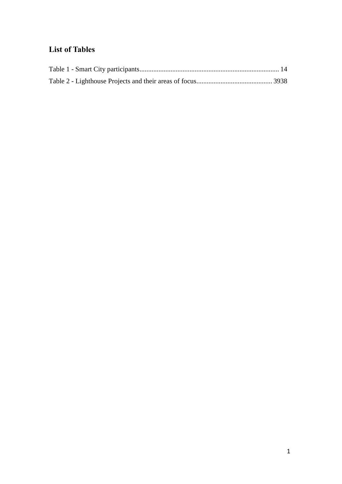# **List of Tables**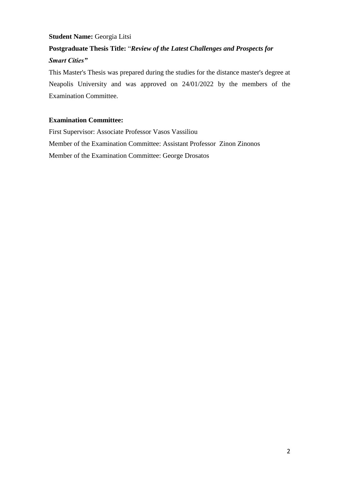# **Student Name:** Georgia Litsi

# **Postgraduate Thesis Title:** "*Review of the Latest Challenges and Prospects for Smart Cities"*

This Master's Thesis was prepared during the studies for the distance master's degree at Neapolis University and was approved on 24/01/2022 by the members of the Examination Committee.

#### **Examination Committee:**

First Supervisor: Associate Professor Vasos Vassiliou Member of the Examination Committee: Assistant Professor Zinon Zinonos Member of the Examination Committee: George Drosatos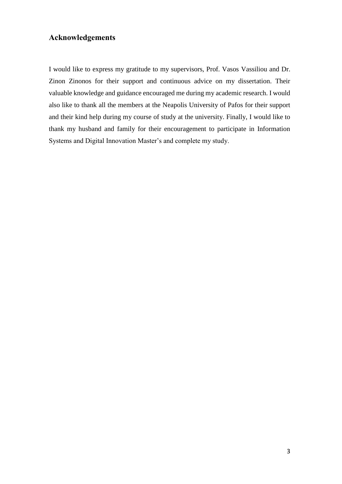# **Acknowledgements**

I would like to express my gratitude to my supervisors, Prof. Vasos Vassiliou and Dr. Zinon Zinonos for their support and continuous advice on my dissertation. Their valuable knowledge and guidance encouraged me during my academic research. I would also like to thank all the members at the Neapolis University of Pafos for their support and their kind help during my course of study at the university. Finally, I would like to thank my husband and family for their encouragement to participate in Information Systems and Digital Innovation Master's and complete my study.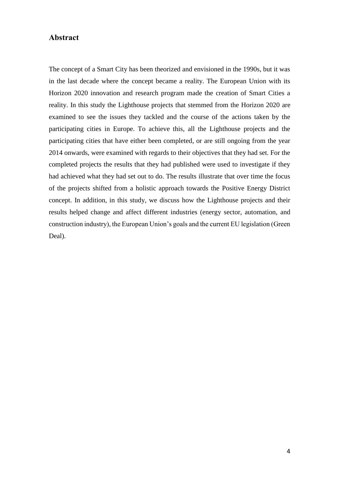#### <span id="page-8-0"></span>**Abstract**

The concept of a Smart City has been theorized and envisioned in the 1990s, but it was in the last decade where the concept became a reality. The European Union with its Horizon 2020 innovation and research program made the creation of Smart Cities a reality. In this study the Lighthouse projects that stemmed from the Horizon 2020 are examined to see the issues they tackled and the course of the actions taken by the participating cities in Europe. To achieve this, all the Lighthouse projects and the participating cities that have either been completed, or are still ongoing from the year 2014 onwards, were examined with regards to their objectives that they had set. For the completed projects the results that they had published were used to investigate if they had achieved what they had set out to do. The results illustrate that over time the focus of the projects shifted from a holistic approach towards the Positive Energy District concept. In addition, in this study, we discuss how the Lighthouse projects and their results helped change and affect different industries (energy sector, automation, and construction industry), the European Union's goals and the current EU legislation (Green Deal).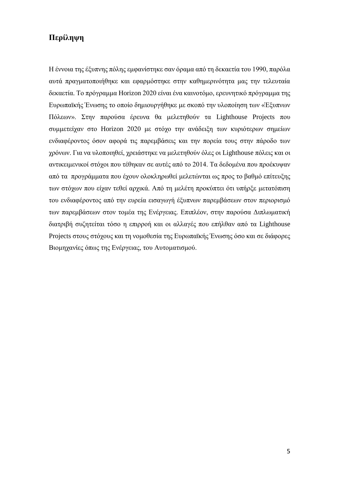# **Περίληψη**

Η έννοια της έξυπνης πόλης εμφανίστηκε σαν όραμα από τη δεκαετία του 1990, παρόλα αυτά πραγματοποιήθηκε και εφαρμόστηκε στην καθημερινότητα μας την τελευταία δεκαετία. Το πρόγραμμα Horizon 2020 είναι ένα καινοτόμο, ερευνητικό πρόγραμμα της Ευρωπαϊκής Ένωσης το οποίο δημιουργήθηκε με σκοπό την υλοποίηση των «Έξυπνων Πόλεων». Στην παρούσα έρευνα θα μελετηθούν τα Lighthouse Projects που συμμετείχαν στο Horizon 2020 με στόχο την ανάδειξη των κυριότερων σημείων ενδιαφέροντος όσον αφορά τις παρεμβάσεις και την πορεία τους στην πάροδο των χρόνων. Για να υλοποιηθεί, χρειάστηκε να μελετηθούν όλες οι Lighthouse πόλεις και οι αντικειμενικοί στόχοι που τέθηκαν σε αυτές από το 2014. Τα δεδομένα που προέκυψαν από τα προγράμματα που έχουν ολοκληρωθεί μελετώνται ως προς το βαθμό επίτευξης των στόχων που είχαν τεθεί αρχικά. Από τη μελέτη προκύπτει ότι υπήρξε μετατόπιση του ενδιαφέροντος από την ευρεία εισαγωγή έξυπνων παρεμβάσεων στον περιορισμό των παρεμβάσεων στον τομέα της Ενέργειας. Επιπλέον, στην παρούσα Διπλωματική διατριβή συζητείται τόσο η επιρροή και οι αλλαγές που επήλθαν από τα Lighthouse Projects στους στόχους και τη νομοθεσία της Ευρωπαϊκής Ένωσης όσο και σε διάφορες Βιομηχανίες όπως της Ενέργειας, του Αυτοματισμού.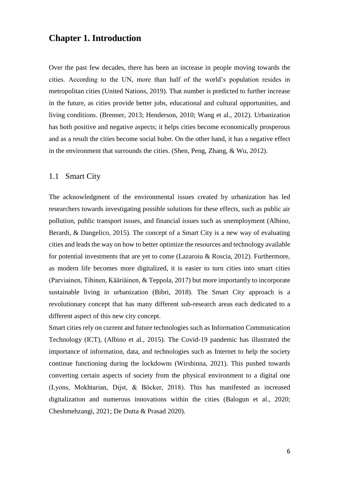# <span id="page-10-0"></span>**Chapter 1. Introduction**

Over the past few decades, there has been an increase in people moving towards the cities. According to the UN, more than half of the world's population resides in metropolitan cities (United Nations, 2019). That number is predicted to further increase in the future, as cities provide better jobs, educational and cultural opportunities, and living conditions. (Brenner, 2013; Henderson, 2010; Wang et al., 2012). Urbanization has both positive and negative aspects; it helps cities become economically prosperous and as a result the cities become social hubσ. On the other hand, it has a negative effect in the environment that surrounds the cities. (Shen, Peng, Zhang, & Wu, 2012).

#### <span id="page-10-1"></span>1.1 Smart City

The acknowledgment of the environmental issues created by urbanization has led researchers towards investigating possible solutions for these effects, such as public air pollution, public transport issues, and financial issues such as unemployment (Albino, Berardi, & Dangelico, 2015). The concept of a Smart City is a new way of evaluating cities and leads the way on how to better optimize the resources and technology available for potential investments that are yet to come (Lazaroiu & Roscia, 2012). Furthermore, as modern life becomes more digitalized, it is easier to turn cities into smart cities (Parviainen, Tihinen, Kääriäinen, & Teppola, 2017) but more importantly to incorporate sustainable living in urbanization (Bibri, 2018). The Smart City approach is a revolutionary concept that has many different sub-research areas each dedicated to a different aspect of this new city concept.

Smart cities rely on current and future technologies such as Information Communication Technology (ICT), (Albino et al., 2015). The Covid-19 pandemic has illustrated the importance of information, data, and technologies such as Internet to help the society continue functioning during the lockdowns (Wirsbinna, 2021). This pushed towards converting certain aspects of society from the physical environment to a digital one (Lyons, Mokhtarian, Dijst, & Böcker, 2018). This has manifested as increased digitalization and numerous innovations within the cities (Balogun et al., 2020; Cheshmehzangi, 2021; De Dutta & Prasad 2020).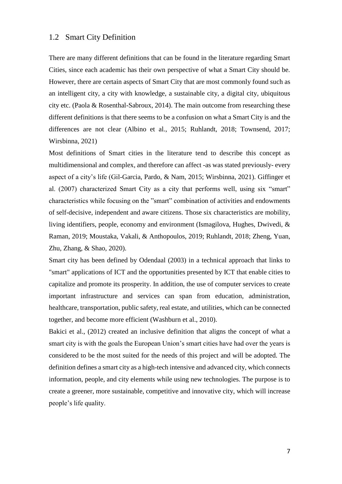#### <span id="page-11-0"></span>1.2 Smart City Definition

There are many different definitions that can be found in the literature regarding Smart Cities, since each academic has their own perspective of what a Smart City should be. However, there are certain aspects of Smart City that are most commonly found such as an intelligent city, a city with knowledge, a sustainable city, a digital city, ubiquitous city etc. (Paola & Rosenthal-Sabroux, 2014). The main outcome from researching these different definitions is that there seems to be a confusion on what a Smart City is and the differences are not clear (Albino et al., 2015; Ruhlandt, 2018; Townsend, 2017; Wirsbinna, 2021)

Most definitions of Smart cities in the literature tend to describe this concept as multidimensional and complex, and therefore can affect -as was stated previously- every aspect of a city's life (Gil-Garcia, Pardo, & Nam, 2015; Wirsbinna, 2021). Giffinger et al. (2007) characterized Smart City as a city that performs well, using six "smart" characteristics while focusing on the "smart" combination of activities and endowments of self-decisive, independent and aware citizens. Those six characteristics are mobility, living identifiers, people, economy and environment (Ismagilova, Hughes, Dwivedi, & Raman, 2019; Moustaka, Vakali, & Anthopoulos, 2019; Ruhlandt, 2018; Zheng, Yuan, Zhu, Zhang, & Shao, 2020).

Smart city has been defined by Odendaal (2003) in a technical approach that links to "smart" applications of ICT and the opportunities presented by ICT that enable cities to capitalize and promote its prosperity. In addition, the use of computer services to create important infrastructure and services can span from education, administration, healthcare, transportation, public safety, real estate, and utilities, which can be connected together, and become more efficient (Washburn et al., 2010).

Bakici et al., (2012) created an inclusive definition that aligns the concept of what a smart city is with the goals the European Union's smart cities have had over the years is considered to be the most suited for the needs of this project and will be adopted. The definition defines a smart city as a high-tech intensive and advanced city, which connects information, people, and city elements while using new technologies. The purpose is to create a greener, more sustainable, competitive and innovative city, which will increase people's life quality.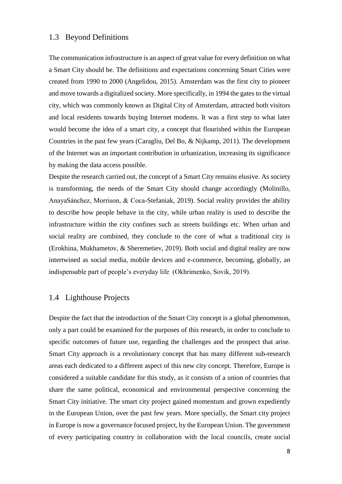#### <span id="page-12-0"></span>1.3 Beyond Definitions

The communication infrastructure is an aspect of great value for every definition on what a Smart City should be. The definitions and expectations concerning Smart Cities were created from 1990 to 2000 (Angelidou, 2015). Amsterdam was the first city to pioneer and move towards a digitalized society. More specifically, in 1994 the gates to the virtual city, which was commonly known as Digital City of Amsterdam, attracted both visitors and local residents towards buying Internet modems. It was a first step to what later would become the idea of a smart city, a concept that flourished within the European Countries in the past few years (Caragliu, Del Bo, & Nijkamp, 2011). The development of the Internet was an important contribution in urbanization, increasing its significance by making the data access possible.

Despite the research carried out, the concept of a Smart City remains elusive. As society is transforming, the needs of the Smart City should change accordingly (Molinillo, AnayaSánchez, Morrison, & Coca-Stefaniak, 2019). Social reality provides the ability to describe how people behave in the city, while urban reality is used to describe the infrastructure within the city confines such as streets buildings etc. When urban and social reality are combined, they conclude to the core of what a traditional city is (Erokhina, Mukhametov, & Sheremetiev, 2019). Both social and digital reality are now intertwined as social media, mobile devices and e-commerce, becoming, globally, an indispensable part of people's everyday life (Okhrimenko, Sovik, 2019).

### <span id="page-12-1"></span>1.4 Lighthouse Projects

Despite the fact that the introduction of the Smart City concept is a global phenomenon, only a part could be examined for the purposes of this research, in order to conclude to specific outcomes of future use, regarding the challenges and the prospect that arise. Smart City approach is a revolutionary concept that has many different sub-research areas each dedicated to a different aspect of this new city concept. Therefore, Europe is considered a suitable candidate for this study, as it consists of a union of countries that share the same political, economical and environmental perspective concerning the Smart City initiative. The smart city project gained momentum and grown expediently in the European Union, over the past few years. More specially, the Smart city project in Europe is now a governance focused project, by the European Union. The government of every participating country in collaboration with the local councils, create social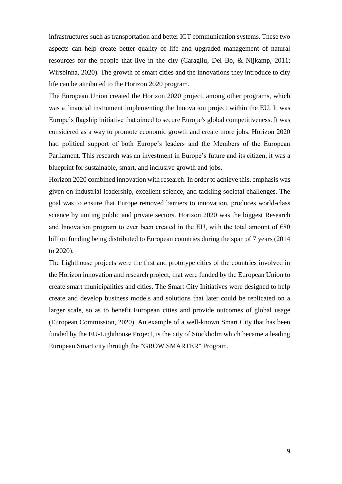infrastructures such as transportation and better ICT communication systems. These two aspects can help create better quality of life and upgraded management of natural resources for the people that live in the city (Caragliu, Del Bo, & Nijkamp, 2011; Wirsbinna, 2020). The growth of smart cities and the innovations they introduce to city life can be attributed to the Horizon 2020 program.

The European Union created the Horizon 2020 project, among other programs, which was a financial instrument implementing the Innovation project within the EU. It was Europe's flagship initiative that aimed to secure Europe's global competitiveness. It was considered as a way to promote economic growth and create more jobs. Horizon 2020 had political support of both Europe's leaders and the Members of the European Parliament. This research was an investment in Europe's future and its citizen, it was a blueprint for sustainable, smart, and inclusive growth and jobs.

Horizon 2020 combined innovation with research. In order to achieve this, emphasis was given on industrial leadership, excellent science, and tackling societal challenges. The goal was to ensure that Europe removed barriers to innovation, produces world-class science by uniting public and private sectors. Horizon 2020 was the biggest Research and Innovation program to ever been created in the EU, with the total amount of  $\epsilon$ 80 billion funding being distributed to European countries during the span of 7 years (2014 to 2020).

The Lighthouse projects were the first and prototype cities of the countries involved in the Horizon innovation and research project, that were funded by the European Union to create smart municipalities and cities. The Smart City Initiatives were designed to help create and develop business models and solutions that later could be replicated on a larger scale, so as to benefit European cities and provide outcomes of global usage (European Commission, 2020). An example of a well-known Smart City that has been funded by the EU-Lighthouse Project, is the city of Stockholm which became a leading European Smart city through the "GROW SMARTER" Program.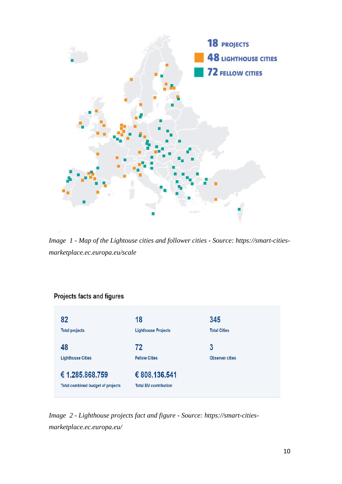

*Image 1 - Map of the Lightouse cities and follower cities - Source: https://smart-citiesmarketplace.ec.europa.eu/scale*

### Projects facts and figures



*Image 2 - Lighthouse projects fact and figure - Source: https://smart-citiesmarketplace.ec.europa.eu/*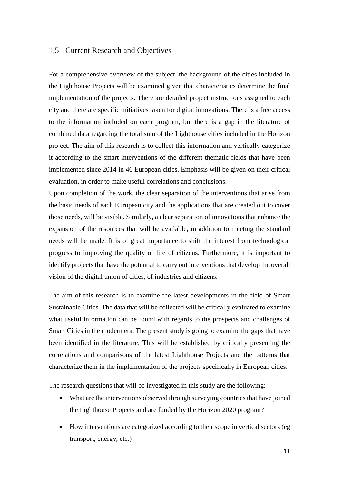#### <span id="page-15-0"></span>1.5 Current Research and Objectives

For a comprehensive overview of the subject, the background of the cities included in the Lighthouse Projects will be examined given that characteristics determine the final implementation of the projects. There are detailed project instructions assigned to each city and there are specific initiatives taken for digital innovations. There is a free access to the information included on each program, but there is a gap in the literature of combined data regarding the total sum of the Lighthouse cities included in the Horizon project. The aim of this research is to collect this information and vertically categorize it according to the smart interventions of the different thematic fields that have been implemented since 2014 in 46 European cities. Emphasis will be given on their critical evaluation, in order to make useful correlations and conclusions.

Upon completion of the work, the clear separation of the interventions that arise from the basic needs of each European city and the applications that are created out to cover those needs, will be visible. Similarly, a clear separation of innovations that enhance the expansion of the resources that will be available, in addition to meeting the standard needs will be made. It is of great importance to shift the interest from technological progress to improving the quality of life of citizens. Furthermore, it is important to identify projects that have the potential to carry out interventions that develop the overall vision of the digital union of cities, of industries and citizens.

The aim of this research is to examine the latest developments in the field of Smart Sustainable Cities. The data that will be collected will be critically evaluated to examine what useful information can be found with regards to the prospects and challenges of Smart Cities in the modern era. The present study is going to examine the gaps that have been identified in the literature. This will be established by critically presenting the correlations and comparisons of the latest Lighthouse Projects and the patterns that characterize them in the implementation of the projects specifically in European cities.

The research questions that will be investigated in this study are the following:

- What are the interventions observed through surveying countries that have joined the Lighthouse Projects and are funded by the Horizon 2020 program?
- How interventions are categorized according to their scope in vertical sectors (eg transport, energy, etc.)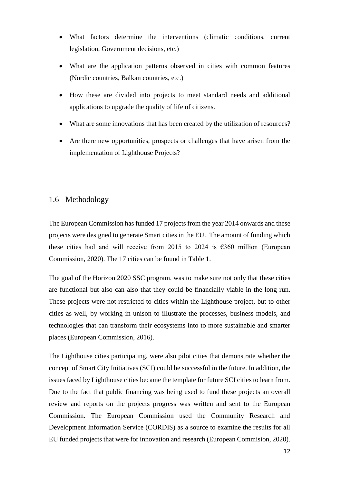- What factors determine the interventions (climatic conditions, current legislation, Government decisions, etc.)
- What are the application patterns observed in cities with common features (Nordic countries, Balkan countries, etc.)
- How these are divided into projects to meet standard needs and additional applications to upgrade the quality of life of citizens.
- What are some innovations that has been created by the utilization of resources?
- Are there new opportunities, prospects or challenges that have arisen from the implementation of Lighthouse Projects?

#### <span id="page-16-0"></span>1.6 Methodology

The European Commission has funded 17 projects from the year 2014 onwards and these projects were designed to generate Smart cities in the EU. The amount of funding which these cities had and will receive from 2015 to 2024 is  $\epsilon$ 360 million (European Commission, 2020). The 17 cities can be found in Table 1.

The goal of the Horizon 2020 SSC program, was to make sure not only that these cities are functional but also can also that they could be financially viable in the long run. These projects were not restricted to cities within the Lighthouse project, but to other cities as well, by working in unison to illustrate the processes, business models, and technologies that can transform their ecosystems into to more sustainable and smarter places (European Commission, 2016).

The Lighthouse cities participating, were also pilot cities that demonstrate whether the concept of Smart City Initiatives (SCI) could be successful in the future. In addition, the issues faced by Lighthouse cities became the template for future SCI cities to learn from. Due to the fact that public financing was being used to fund these projects an overall review and reports on the projects progress was written and sent to the European Commission. The European Commission used the Community Research and Development Information Service (CORDIS) as a source to examine the results for all EU funded projects that were for innovation and research (European Commision, 2020).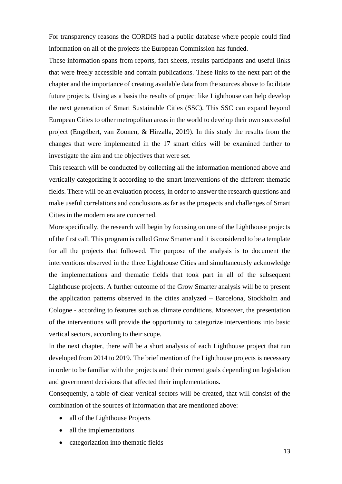For transparency reasons the CORDIS had a public database where people could find information on all of the projects the European Commission has funded.

These information spans from reports, fact sheets, results participants and useful links that were freely accessible and contain publications. These links to the next part of the chapter and the importance of creating available data from the sources above to facilitate future projects. Using as a basis the results of project like Lighthouse can help develop the next generation of Smart Sustainable Cities (SSC). This SSC can expand beyond European Cities to other metropolitan areas in the world to develop their own successful project (Engelbert, van Zoonen, & Hirzalla, 2019). In this study the results from the changes that were implemented in the 17 smart cities will be examined further to investigate the aim and the objectives that were set.

This research will be conducted by collecting all the information mentioned above and vertically categorizing it according to the smart interventions of the different thematic fields. There will be an evaluation process, in order to answer the research questions and make useful correlations and conclusions as far as the prospects and challenges of Smart Cities in the modern era are concerned.

More specifically, the research will begin by focusing on one of the Lighthouse projects of the first call. This program is called Grow Smarter and it is considered to be a template for all the projects that followed. The purpose of the analysis is to document the interventions observed in the three Lighthouse Cities and simultaneously acknowledge the implementations and thematic fields that took part in all of the subsequent Lighthouse projects. A further outcome of the Grow Smarter analysis will be to present the application patterns observed in the cities analyzed – Barcelona, Stockholm and Cologne - according to features such as climate conditions. Moreover, the presentation of the interventions will provide the opportunity to categorize interventions into basic vertical sectors, according to their scope.

In the next chapter, there will be a short analysis of each Lighthouse project that run developed from 2014 to 2019. The brief mention of the Lighthouse projects is necessary in order to be familiar with the projects and their current goals depending on legislation and government decisions that affected their implementations.

Consequently, a table of clear vertical sectors will be created, that will consist of the combination of the sources of information that are mentioned above:

- all of the Lighthouse Projects
- all the implementations
- categorization into thematic fields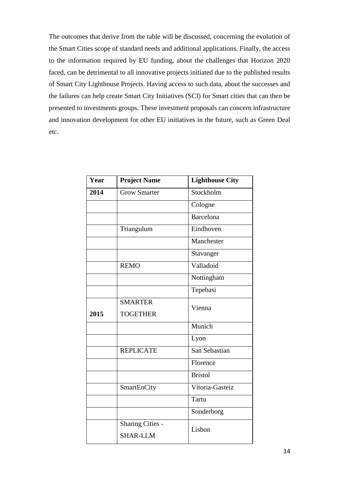The outcomes that derive from the table will be discussed, concerning the evolution of the Smart Cities scope of standard needs and additional applications. Finally, the access to the information required by EU funding, about the challenges that Horizon 2020 faced, can be detrimental to all innovative projects initiated due to the published results of Smart City Lighthouse Projects. Having access to such data, about the successes and the failures can help create Smart City Initiatives (SCI) for Smart cities that can then be presented to investments groups. These investment proposals can concern infrastructure and innovation development for other EU initiatives in the future, such as Green Deal etc.

| Year | <b>Project Name</b>     | <b>Lighthouse City</b> |
|------|-------------------------|------------------------|
| 2014 | Grow Smarter            | Stockholm              |
|      |                         | Cologne                |
|      |                         | <b>Barcelona</b>       |
|      | Triangulum              | Eindhoven              |
|      |                         | Manchester             |
|      |                         | Stavanger              |
|      | <b>REMO</b>             | Valladoid              |
|      |                         | Nottingham             |
|      |                         | Tepebasi               |
|      | <b>SMARTER</b>          | Vienna                 |
| 2015 | <b>TOGETHER</b>         |                        |
|      |                         | Munich                 |
|      |                         | Lyon                   |
|      | <b>REPLICATE</b>        | San Sebastian          |
|      |                         | Florence               |
|      |                         | <b>Bristol</b>         |
|      | SmartEnCity             | Vitoria-Gasteiz        |
|      |                         | Tartu                  |
|      |                         | Sonderborg             |
|      | <b>Sharing Cities -</b> | Lisbon                 |
|      | <b>SHAR-LLM</b>         |                        |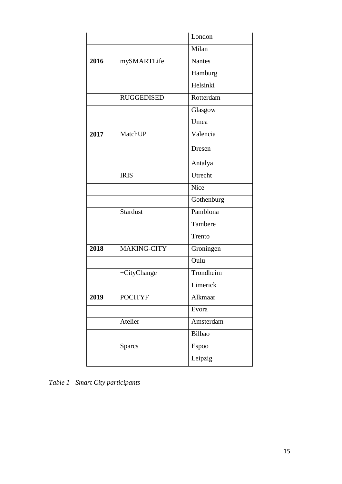|      |                    | London                 |
|------|--------------------|------------------------|
|      |                    | Milan                  |
| 2016 | mySMARTLife        | <b>Nantes</b>          |
|      |                    | Hamburg                |
|      |                    | Helsinki               |
|      | <b>RUGGEDISED</b>  | Rotterdam              |
|      |                    | Glasgow                |
|      |                    | Umea                   |
| 2017 | MatchUP            | Valencia               |
|      |                    | Dresen                 |
|      |                    | Antalya                |
|      | <b>IRIS</b>        | Utrecht                |
|      |                    | <b>Nice</b>            |
|      |                    | Gothenburg             |
|      | <b>Stardust</b>    | $\overline{P}$ amblona |
|      |                    | Tambere                |
|      |                    | Trento                 |
| 2018 | <b>MAKING-CITY</b> | Groningen              |
|      |                    | Oulu                   |
|      | +CityChange        | Trondheim              |
|      |                    | Limerick               |
| 2019 | <b>POCITYF</b>     | Alkmaar                |
|      |                    | Evora                  |
|      | Atelier            | Amsterdam              |
|      |                    | Bilbao                 |
|      | <b>Sparcs</b>      | Espoo                  |
|      |                    | Leipzig                |

<span id="page-19-0"></span>*Table 1 - Smart City participants*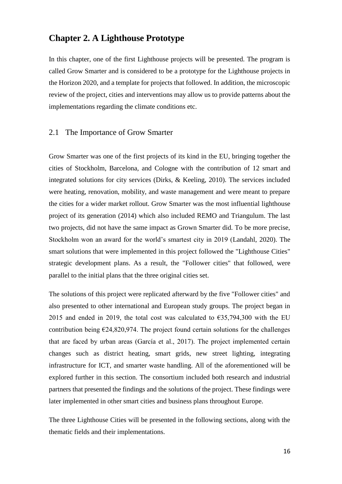# <span id="page-20-0"></span>**Chapter 2. A Lighthouse Prototype**

In this chapter, one of the first Lighthouse projects will be presented. The program is called Grow Smarter and is considered to be a prototype for the Lighthouse projects in the Horizon 2020, and a template for projects that followed. In addition, the microscopic review of the project, cities and interventions may allow us to provide patterns about the implementations regarding the climate conditions etc.

#### <span id="page-20-1"></span>2.1 The Importance of Grow Smarter

Grow Smarter was one of the first projects of its kind in the EU, bringing together the cities of Stockholm, Barcelona, and Cologne with the contribution of 12 smart and integrated solutions for city services (Dirks, & Keeling, 2010). The services included were heating, renovation, mobility, and waste management and were meant to prepare the cities for a wider market rollout. Grow Smarter was the most influential lighthouse project of its generation (2014) which also included REMO and Triangulum. The last two projects, did not have the same impact as Grown Smarter did. To be more precise, Stockholm won an award for the world's smartest city in 2019 (Landahl, 2020). The smart solutions that were implemented in this project followed the "Lighthouse Cities" strategic development plans. As a result, the "Follower cities" that followed, were parallel to the initial plans that the three original cities set.

The solutions of this project were replicated afterward by the five "Follower cities" and also presented to other international and European study groups. The project began in 2015 and ended in 2019, the total cost was calculated to  $\epsilon$ 35,794,300 with the EU contribution being  $E$ 24,820,974. The project found certain solutions for the challenges that are faced by urban areas (García et al., 2017). The project implemented certain changes such as district heating, smart grids, new street lighting, integrating infrastructure for ICT, and smarter waste handling. All of the aforementioned will be explored further in this section. The consortium included both research and industrial partners that presented the findings and the solutions of the project. These findings were later implemented in other smart cities and business plans throughout Europe.

The three Lighthouse Cities will be presented in the following sections, along with the thematic fields and their implementations.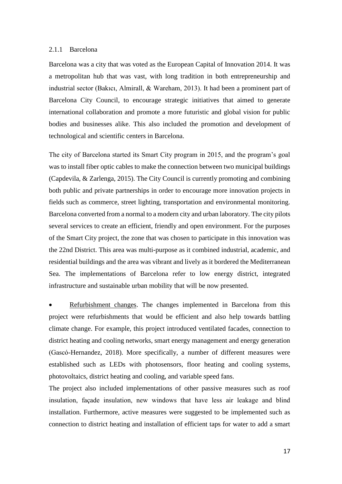#### <span id="page-21-0"></span>2.1.1 Barcelona

Barcelona was a city that was voted as the European Capital of Innovation 2014. It was a metropolitan hub that was vast, with long tradition in both entrepreneurship and industrial sector (Bakıcı, Almirall, & Wareham, 2013). It had been a prominent part of Barcelona City Council, to encourage strategic initiatives that aimed to generate international collaboration and promote a more futuristic and global vision for public bodies and businesses alike. This also included the promotion and development of technological and scientific centers in Barcelona.

The city of Barcelona started its Smart City program in 2015, and the program's goal was to install fiber optic cables to make the connection between two municipal buildings (Capdevila, & Zarlenga, 2015). The City Council is currently promoting and combining both public and private partnerships in order to encourage more innovation projects in fields such as commerce, street lighting, transportation and environmental monitoring. Barcelona converted from a normal to a modern city and urban laboratory. The city pilots several services to create an efficient, friendly and open environment. For the purposes of the Smart City project, the zone that was chosen to participate in this innovation was the 22nd District. This area was multi-purpose as it combined industrial, academic, and residential buildings and the area was vibrant and lively as it bordered the Mediterranean Sea. The implementations of Barcelona refer to low energy district, integrated infrastructure and sustainable urban mobility that will be now presented.

 Refurbishment changes. The changes implemented in Barcelona from this project were refurbishments that would be efficient and also help towards battling climate change. For example, this project introduced ventilated facades, connection to district heating and cooling networks, smart energy management and energy generation (Gascó-Hernandez, 2018). More specifically, a number of different measures were established such as LEDs with photosensors, floor heating and cooling systems, photovoltaics, district heating and cooling, and variable speed fans.

The project also included implementations of other passive measures such as roof insulation, façade insulation, new windows that have less air leakage and blind installation. Furthermore, active measures were suggested to be implemented such as connection to district heating and installation of efficient taps for water to add a smart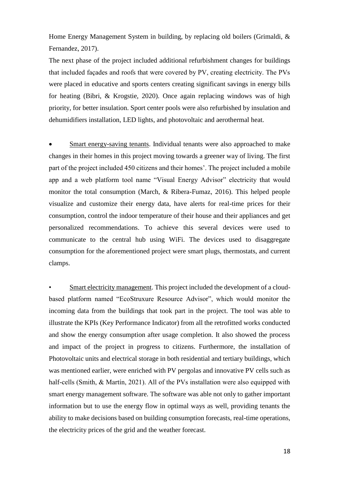Home Energy Management System in building, by replacing old boilers (Grimaldi, & Fernandez, 2017).

The next phase of the project included additional refurbishment changes for buildings that included façades and roofs that were covered by PV, creating electricity. The PVs were placed in educative and sports centers creating significant savings in energy bills for heating (Bibri, & Krogstie, 2020). Once again replacing windows was of high priority, for better insulation. Sport center pools were also refurbished by insulation and dehumidifiers installation, LED lights, and photovoltaic and aerothermal heat.

 Smart energy-saving tenants. Individual tenants were also approached to make changes in their homes in this project moving towards a greener way of living. The first part of the project included 450 citizens and their homes'. The project included a mobile app and a web platform tool name "Visual Energy Advisor" electricity that would monitor the total consumption (March, & Ribera-Fumaz, 2016). This helped people visualize and customize their energy data, have alerts for real-time prices for their consumption, control the indoor temperature of their house and their appliances and get personalized recommendations. To achieve this several devices were used to communicate to the central hub using WiFi. The devices used to disaggregate consumption for the aforementioned project were smart plugs, thermostats, and current clamps.

• Smart electricity management. This project included the development of a cloudbased platform named "EcoStruxure Resource Advisor", which would monitor the incoming data from the buildings that took part in the project. The tool was able to illustrate the KPIs (Key Performance Indicator) from all the retrofitted works conducted and show the energy consumption after usage completion. It also showed the process and impact of the project in progress to citizens. Furthermore, the installation of Photovoltaic units and electrical storage in both residential and tertiary buildings, which was mentioned earlier, were enriched with PV pergolas and innovative PV cells such as half-cells (Smith, & Martín, 2021). All of the PVs installation were also equipped with smart energy management software. The software was able not only to gather important information but to use the energy flow in optimal ways as well, providing tenants the ability to make decisions based on building consumption forecasts, real-time operations, the electricity prices of the grid and the weather forecast.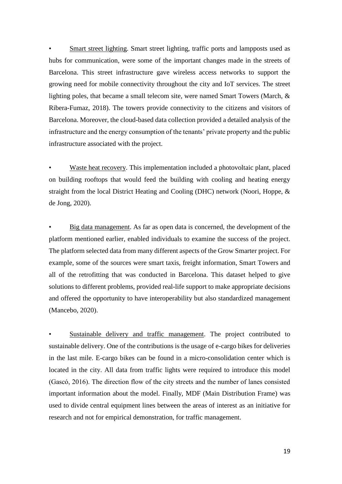• Smart street lighting. Smart street lighting, traffic ports and lampposts used as hubs for communication, were some of the important changes made in the streets of Barcelona. This street infrastructure gave wireless access networks to support the growing need for mobile connectivity throughout the city and IoT services. The street lighting poles, that became a small telecom site, were named Smart Towers (March, & Ribera-Fumaz, 2018). The towers provide connectivity to the citizens and visitors of Barcelona. Moreover, the cloud-based data collection provided a detailed analysis of the infrastructure and the energy consumption of the tenants' private property and the public infrastructure associated with the project.

• Waste heat recovery. This implementation included a photovoltaic plant, placed on building rooftops that would feed the building with cooling and heating energy straight from the local District Heating and Cooling (DHC) network (Noori, Hoppe, & de Jong, 2020).

• Big data management. As far as open data is concerned, the development of the platform mentioned earlier, enabled individuals to examine the success of the project. The platform selected data from many different aspects of the Grow Smarter project. For example, some of the sources were smart taxis, freight information, Smart Towers and all of the retrofitting that was conducted in Barcelona. This dataset helped to give solutions to different problems, provided real-life support to make appropriate decisions and offered the opportunity to have interoperability but also standardized management (Mancebo, 2020).

Sustainable delivery and traffic management. The project contributed to sustainable delivery. One of the contributions is the usage of e-cargo bikes for deliveries in the last mile. E-cargo bikes can be found in a micro-consolidation center which is located in the city. All data from traffic lights were required to introduce this model (Gascó, 2016). The direction flow of the city streets and the number of lanes consisted important information about the model. Finally, MDF (Main Distribution Frame) was used to divide central equipment lines between the areas of interest as an initiative for research and not for empirical demonstration, for traffic management.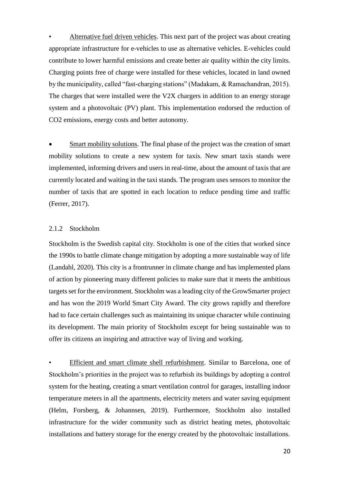• Alternative fuel driven vehicles. This next part of the project was about creating appropriate infrastructure for e-vehicles to use as alternative vehicles. E-vehicles could contribute to lower harmful emissions and create better air quality within the city limits. Charging points free of charge were installed for these vehicles, located in land owned by the municipality, called "fast-charging stations" (Madakam, & Ramachandran, 2015). The charges that were installed were the V2X chargers in addition to an energy storage system and a photovoltaic (PV) plant. This implementation endorsed the reduction of CO2 emissions, energy costs and better autonomy.

 Smart mobility solutions. The final phase of the project was the creation of smart mobility solutions to create a new system for taxis. New smart taxis stands were implemented, informing drivers and users in real-time, about the amount of taxis that are currently located and waiting in the taxi stands. The program uses sensors to monitor the number of taxis that are spotted in each location to reduce pending time and traffic (Ferrer, 2017).

#### <span id="page-24-0"></span>2.1.2 Stockholm

Stockholm is the Swedish capital city. Stockholm is one of the cities that worked since the 1990s to battle climate change mitigation by adopting a more sustainable way of life (Landahl, 2020). This city is a frontrunner in climate change and has implemented plans of action by pioneering many different policies to make sure that it meets the ambitious targets set for the environment. Stockholm was a leading city of the GrowSmarter project and has won the 2019 World Smart City Award. The city grows rapidly and therefore had to face certain challenges such as maintaining its unique character while continuing its development. The main priority of Stockholm except for being sustainable was to offer its citizens an inspiring and attractive way of living and working.

• Efficient and smart climate shell refurbishment. Similar to Barcelona, one of Stockholm's priorities in the project was to refurbish its buildings by adopting a control system for the heating, creating a smart ventilation control for garages, installing indoor temperature meters in all the apartments, electricity meters and water saving equipment (Helm, Forsberg, & Johannsen, 2019). Furthermore, Stockholm also installed infrastructure for the wider community such as district heating metes, photovoltaic installations and battery storage for the energy created by the photovoltaic installations.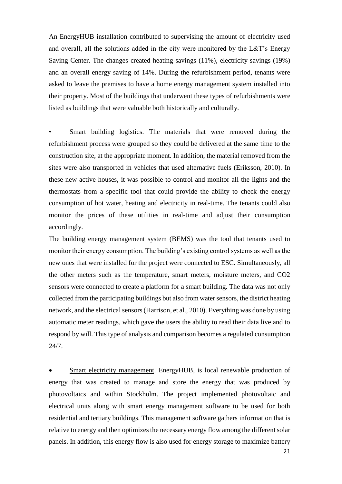An EnergyHUB installation contributed to supervising the amount of electricity used and overall, all the solutions added in the city were monitored by the L&T's Energy Saving Center. The changes created heating savings (11%), electricity savings (19%) and an overall energy saving of 14%. During the refurbishment period, tenants were asked to leave the premises to have a home energy management system installed into their property. Most of the buildings that underwent these types of refurbishments were listed as buildings that were valuable both historically and culturally.

Smart building logistics. The materials that were removed during the refurbishment process were grouped so they could be delivered at the same time to the construction site, at the appropriate moment. In addition, the material removed from the sites were also transported in vehicles that used alternative fuels (Eriksson, 2010). In these new active houses, it was possible to control and monitor all the lights and the thermostats from a specific tool that could provide the ability to check the energy consumption of hot water, heating and electricity in real-time. The tenants could also monitor the prices of these utilities in real-time and adjust their consumption accordingly.

The building energy management system (BEMS) was the tool that tenants used to monitor their energy consumption. The building's existing control systems as well as the new ones that were installed for the project were connected to ESC. Simultaneously, all the other meters such as the temperature, smart meters, moisture meters, and CO2 sensors were connected to create a platform for a smart building. The data was not only collected from the participating buildings but also from water sensors, the district heating network, and the electrical sensors (Harrison, et al., 2010). Everything was done by using automatic meter readings, which gave the users the ability to read their data live and to respond by will. This type of analysis and comparison becomes a regulated consumption 24/7.

 Smart electricity management. EnergyHUB, is local renewable production of energy that was created to manage and store the energy that was produced by photovoltaics and within Stockholm. The project implemented photovoltaic and electrical units along with smart energy management software to be used for both residential and tertiary buildings. This management software gathers information that is relative to energy and then optimizes the necessary energy flow among the different solar panels. In addition, this energy flow is also used for energy storage to maximize battery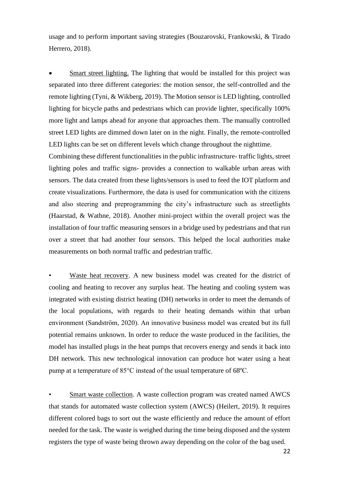usage and to perform important saving strategies (Bouzarovski, Frankowski, & Tirado Herrero, 2018).

 Smart street lighting. The lighting that would be installed for this project was separated into three different categories: the motion sensor, the self-controlled and the remote lighting (Tyni, & Wikberg, 2019). The Motion sensor is LED lighting, controlled lighting for bicycle paths and pedestrians which can provide lighter, specifically 100% more light and lamps ahead for anyone that approaches them. The manually controlled street LED lights are dimmed down later on in the night. Finally, the remote-controlled LED lights can be set on different levels which change throughout the nighttime.

Combining these different functionalities in the public infrastructure- traffic lights, street lighting poles and traffic signs- provides a connection to walkable urban areas with sensors. The data created from these lights/sensors is used to feed the IOT platform and create visualizations. Furthermore, the data is used for communication with the citizens and also steering and preprogramming the city's infrastructure such as streetlights (Haarstad, & Wathne, 2018). Another mini-project within the overall project was the installation of four traffic measuring sensors in a bridge used by pedestrians and that run over a street that had another four sensors. This helped the local authorities make measurements on both normal traffic and pedestrian traffic.

Waste heat recovery. A new business model was created for the district of cooling and heating to recover any surplus heat. The heating and cooling system was integrated with existing district heating (DH) networks in order to meet the demands of the local populations, with regards to their heating demands within that urban environment (Sandström, 2020). An innovative business model was created but its full potential remains unknown. In order to reduce the waste produced in the facilities, the model has installed plugs in the heat pumps that recovers energy and sends it back into DH network. This new technological innovation can produce hot water using a heat pump at a temperature of 85°C instead of the usual temperature of 68ºC.

Smart waste collection. A waste collection program was created named AWCS that stands for automated waste collection system (AWCS) (Heilert, 2019). It requires different colored bags to sort out the waste efficiently and reduce the amount of effort needed for the task. The waste is weighed during the time being disposed and the system registers the type of waste being thrown away depending on the color of the bag used.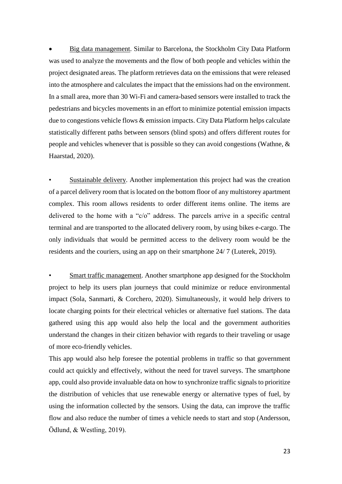Big data management. Similar to Barcelona, the Stockholm City Data Platform was used to analyze the movements and the flow of both people and vehicles within the project designated areas. The platform retrieves data on the emissions that were released into the atmosphere and calculates the impact that the emissions had on the environment. In a small area, more than 30 Wi-Fi and camera-based sensors were installed to track the pedestrians and bicycles movements in an effort to minimize potential emission impacts due to congestions vehicle flows & emission impacts. City Data Platform helps calculate statistically different paths between sensors (blind spots) and offers different routes for people and vehicles whenever that is possible so they can avoid congestions (Wathne, & Haarstad, 2020).

Sustainable delivery. Another implementation this project had was the creation of a parcel delivery room that is located on the bottom floor of any multistorey apartment complex. This room allows residents to order different items online. The items are delivered to the home with a "c/o" address. The parcels arrive in a specific central terminal and are transported to the allocated delivery room, by using bikes e-cargo. The only individuals that would be permitted access to the delivery room would be the residents and the couriers, using an app on their smartphone 24/ 7 (Luterek, 2019).

• Smart traffic management. Another smartphone app designed for the Stockholm project to help its users plan journeys that could minimize or reduce environmental impact (Sola, Sanmarti, & Corchero, 2020). Simultaneously, it would help drivers to locate charging points for their electrical vehicles or alternative fuel stations. The data gathered using this app would also help the local and the government authorities understand the changes in their citizen behavior with regards to their traveling or usage of more eco-friendly vehicles.

This app would also help foresee the potential problems in traffic so that government could act quickly and effectively, without the need for travel surveys. The smartphone app, could also provide invaluable data on how to synchronize traffic signals to prioritize the distribution of vehicles that use renewable energy or alternative types of fuel, by using the information collected by the sensors. Using the data, can improve the traffic flow and also reduce the number of times a vehicle needs to start and stop (Andersson, Ödlund, & Westling, 2019).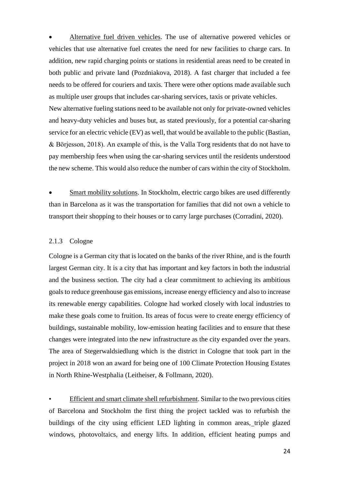Alternative fuel driven vehicles. The use of alternative powered vehicles or vehicles that use alternative fuel creates the need for new facilities to charge cars. In addition, new rapid charging points or stations in residential areas need to be created in both public and private land (Pozdniakova, 2018). A fast charger that included a fee needs to be offered for couriers and taxis. There were other options made available such as multiple user groups that includes car-sharing services, taxis or private vehicles. New alternative fueling stations need to be available not only for private-owned vehicles and heavy-duty vehicles and buses but, as stated previously, for a potential car-sharing service for an electric vehicle (EV) as well, that would be available to the public (Bastian, & Börjesson, 2018). An example of this, is the Valla Torg residents that do not have to pay membership fees when using the car-sharing services until the residents understood the new scheme. This would also reduce the number of cars within the city of Stockholm.

 Smart mobility solutions. In Stockholm, electric cargo bikes are used differently than in Barcelona as it was the transportation for families that did not own a vehicle to transport their shopping to their houses or to carry large purchases (Corradini, 2020).

#### <span id="page-28-0"></span>2.1.3 Cologne

Cologne is a German city that is located on the banks of the river Rhine, and is the fourth largest German city. It is a city that has important and key factors in both the industrial and the business section. The city had a clear commitment to achieving its ambitious goals to reduce greenhouse gas emissions, increase energy efficiency and also to increase its renewable energy capabilities. Cologne had worked closely with local industries to make these goals come to fruition. Its areas of focus were to create energy efficiency of buildings, sustainable mobility, low-emission heating facilities and to ensure that these changes were integrated into the new infrastructure as the city expanded over the years. The area of Stegerwaldsiedlung which is the district in Cologne that took part in the project in 2018 won an award for being one of 100 Climate Protection Housing Estates in North Rhine-Westphalia (Leitheiser, & Follmann, 2020).

• Efficient and smart climate shell refurbishment. Similar to the two previous cities of Barcelona and Stockholm the first thing the project tackled was to refurbish the buildings of the city using efficient LED lighting in common areas, triple glazed windows, photovoltaics, and energy lifts. In addition, efficient heating pumps and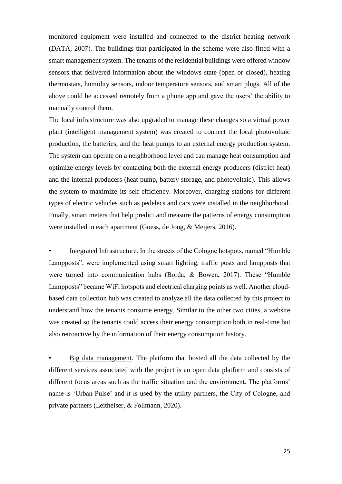monitored equipment were installed and connected to the district heating network (DATA, 2007). The buildings that participated in the scheme were also fitted with a smart management system. The tenants of the residential buildings were offered window sensors that delivered information about the windows state (open or closed), heating thermostats, humidity sensors, indoor temperature sensors, and smart plugs. All of the above could be accessed remotely from a phone app and gave the users' the ability to manually control them.

The local infrastructure was also upgraded to manage these changes so a virtual power plant (intelligent management system) was created to connect the local photovoltaic production, the batteries, and the heat pumps to an external energy production system. The system can operate on a neighborhood level and can manage heat consumption and optimize energy levels by contacting both the external energy producers (district heat) and the internal producers (heat pump, battery storage, and photovoltaic). This allows the system to maximize its self-efficiency. Moreover, charging stations for different types of electric vehicles such as pedelecs and cars were installed in the neighborhood. Finally, smart meters that help predict and measure the patterns of energy consumption were installed in each apartment (Goess, de Jong, & Meijers, 2016).

• Integrated Infrastructure. In the streets of the Cologne hotspots, named "Humble Lampposts", were implemented using smart lighting, traffic posts and lampposts that were turned into communication hubs (Borda, & Bowen, 2017). These "Humble Lampposts" became WiFi hotspots and electrical charging points as well. Another cloudbased data collection hub was created to analyze all the data collected by this project to understand how the tenants consume energy. Similar to the other two cities, a website was created so the tenants could access their energy consumption both in real-time but also retroactive by the information of their energy consumption history.

• Big data management. The platform that hosted all the data collected by the different services associated with the project is an open data platform and consists of different focus areas such as the traffic situation and the environment. The platforms' name is 'Urban Pulse' and it is used by the utility partners, the City of Cologne, and private partners (Leitheiser, & Follmann, 2020).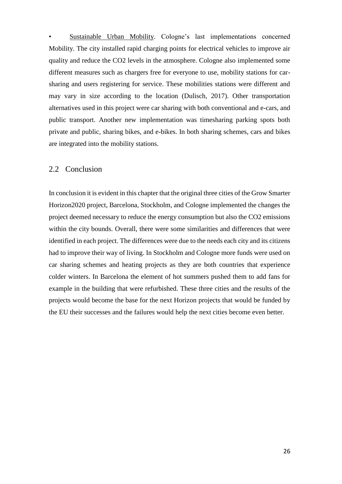• Sustainable Urban Mobility. Cologne's last implementations concerned Mobility. The city installed rapid charging points for electrical vehicles to improve air quality and reduce the CO2 levels in the atmosphere. Cologne also implemented some different measures such as chargers free for everyone to use, mobility stations for carsharing and users registering for service. These mobilities stations were different and may vary in size according to the location (Dulisch, 2017). Other transportation alternatives used in this project were car sharing with both conventional and e-cars, and public transport. Another new implementation was timesharing parking spots both private and public, sharing bikes, and e-bikes. In both sharing schemes, cars and bikes are integrated into the mobility stations.

#### <span id="page-30-0"></span>2.2 Conclusion

In conclusion it is evident in this chapter that the original three cities of the Grow Smarter Horizon2020 project, Barcelona, Stockholm, and Cologne implemented the changes the project deemed necessary to reduce the energy consumption but also the CO2 emissions within the city bounds. Overall, there were some similarities and differences that were identified in each project. The differences were due to the needs each city and its citizens had to improve their way of living. In Stockholm and Cologne more funds were used on car sharing schemes and heating projects as they are both countries that experience colder winters. In Barcelona the element of hot summers pushed them to add fans for example in the building that were refurbished. These three cities and the results of the projects would become the base for the next Horizon projects that would be funded by the EU their successes and the failures would help the next cities become even better.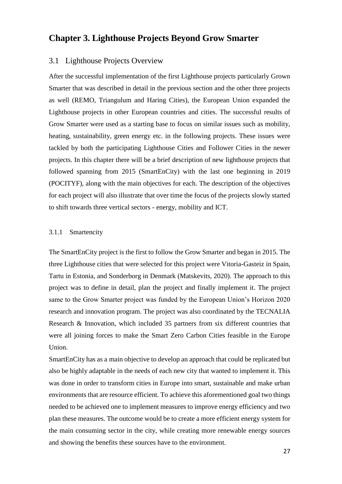# <span id="page-31-0"></span>**Chapter 3. Lighthouse Projects Beyond Grow Smarter**

### <span id="page-31-1"></span>3.1 Lighthouse Projects Overview

After the successful implementation of the first Lighthouse projects particularly Grown Smarter that was described in detail in the previous section and the other three projects as well (REMO, Triangulum and Haring Cities), the European Union expanded the Lighthouse projects in other European countries and cities. The successful results of Grow Smarter were used as a starting base to focus on similar issues such as mobility, heating, sustainability, green energy etc. in the following projects. These issues were tackled by both the participating Lighthouse Cities and Follower Cities in the newer projects. In this chapter there will be a brief description of new lighthouse projects that followed spanning from 2015 (SmartEnCity) with the last one beginning in 2019 (POCITYF), along with the main objectives for each. The description of the objectives for each project will also illustrate that over time the focus of the projects slowly started to shift towards three vertical sectors - energy, mobility and ICT.

#### <span id="page-31-2"></span>3.1.1 Smartencity

The SmartEnCity project is the first to follow the Grow Smarter and began in 2015. The three Lighthouse cities that were selected for this project were Vitoria-Gasteiz in Spain, Tartu in Estonia, and Sonderborg in Denmark (Matskevits, 2020). The approach to this project was to define in detail, plan the project and finally implement it. The project same to the Grow Smarter project was funded by the European Union's Horizon 2020 research and innovation program. The project was also coordinated by the TECNALIA Research & Innovation, which included 35 partners from six different countries that were all joining forces to make the Smart Zero Carbon Cities feasible in the Europe Union.

SmartEnCity has as a main objective to develop an approach that could be replicated but also be highly adaptable in the needs of each new city that wanted to implement it. This was done in order to transform cities in Europe into smart, sustainable and make urban environments that are resource efficient. To achieve this aforementioned goal two things needed to be achieved one to implement measures to improve energy efficiency and two plan these measures. The outcome would be to create a more efficient energy system for the main consuming sector in the city, while creating more renewable energy sources and showing the benefits these sources have to the environment.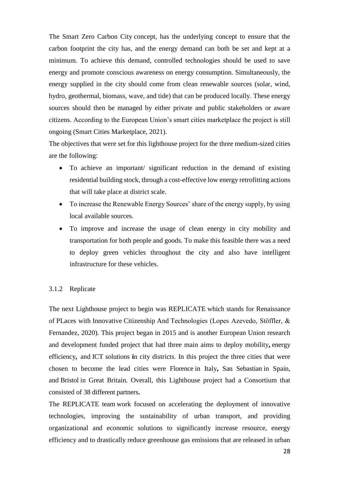The Smart Zero Carbon City concept, has the underlying concept to ensure that the carbon footprint the city has, and the energy demand can both be set and kept at a minimum. To achieve this demand, controlled technologies should be used to save energy and promote conscious awareness on energy consumption. Simultaneously, the energy supplied in the city should come from clean renewable sources (solar, wind, hydro, geothermal, biomass, wave, and tide) that can be produced locally. These energy sources should then be managed by either private and public stakeholders or aware citizens. According to the European Union's smart cities marketplace the project is still ongoing (Smart Cities Marketplace, 2021).

The objectives that were set for this lighthouse project for the three medium-sized cities are the following:

- To achieve an important/ significant reduction in the demand of existing residential building stock, through a cost-effective low energy retrofitting actions that will take place at district scale.
- To increase the Renewable Energy Sources' share of the energy supply, by using local available sources.
- To improve and increase the usage of clean energy in city mobility and transportation for both people and goods. To make this feasible there was a need to deploy green vehicles throughout the city and also have intelligent infrastructure for these vehicles.

#### <span id="page-32-0"></span>3.1.2 Replicate

The next Lighthouse project to begin was REPLICATE which stands for Renaissance of PLaces with Innovative Citizenship And Technologies (Lopes Azevedo, Stöffler, & Fernandez, 2020). This project began in 2015 and is another European Union research and development funded project that had three main aims to deploy mobility**,** [energy](https://replicate-project.eu/energy-efficiency/)  [efficiency](https://replicate-project.eu/energy-efficiency/)**,** [a](https://replicate-project.eu/mobility/)nd ICT solutions **i**n city districts. In this project the three cities that were chosen to become the lead cities were Florence in Italy**,** San Sebastian in Spain, and Bristol in Great Britain. Overall, this Lighthouse project had a Consortium that consisted of 38 different partners**.**

The REPLICATE team work focused on accelerating the deployment of innovative technologies, improving the sustainability of urban transport, and providing organizational and economic solutions to significantly increase resource, energy efficiency and to drastically reduce greenhouse gas emissions that are released in urban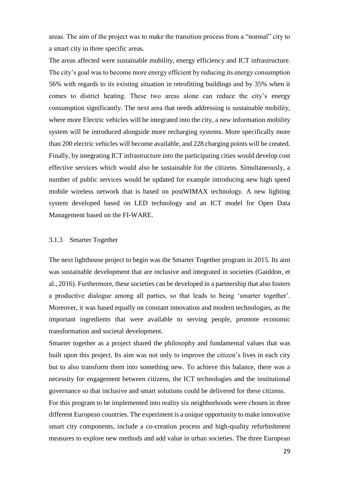areas. The aim of the project was to make the transition process from a "normal" city to a smart city in three specific areas.

The areas affected were sustainable mobility, energy efficiency and ICT infrastructure. The city's goal was to become more energy efficient by reducing its energy consumption 56% with regards to its existing situation in retrofitting buildings and by 35% when it comes to district heating. These two areas alone can reduce the city's energy consumption significantly. The next area that needs addressing is sustainable mobility, where more Electric vehicles will be integrated into the city, a new information mobility system will be introduced alongside more recharging systems. More specifically more than 200 electric vehicles will become available, and 228 charging points will be created. Finally, by integrating ICT infrastructure into the participating cities would develop cost effective services which would also be sustainable for the citizens. Simultaneously, a number of public services would be updated for example introducing new high speed mobile wireless network that is based on postWIMAX technology. A new lighting system developed based on LED technology and an ICT model for Open Data Management based on the FI-WARE.

#### <span id="page-33-0"></span>3.1.3 Smarter Together

The next lighthouse project to begin was the Smarter Together program in 2015. Its aim was sustainable development that are inclusive and integrated in societies (Gaiddon, et al., 2016). Furthermore, these societies can be developed in a partnership that also fosters a productive dialogue among all parties, so that leads to being 'smarter together'. Moreover, it was based equally on constant innovation and modern technologies, as the important ingredients that were available to serving people, promote economic transformation and societal development.

Smarter together as a project shared the philosophy and fundamental values that was built upon this project. Its aim was not only to improve the citizen's lives in each city but to also transform them into something new. To achieve this balance, there was a necessity for engagement between citizens, the ICT technologies and the institutional governance so that inclusive and smart solutions could be delivered for these citizens.

For this program to be implemented into reality six neighborhoods were chosen in three different European countries. The experiment is a unique opportunity to make innovative smart city components, include a co-creation process and high-quality refurbishment measures to explore new methods and add value in urban societies. The three European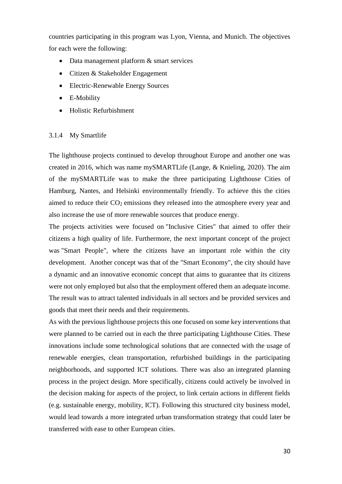countries participating in this program was Lyon, Vienna, and Munich. The objectives for each were the following:

- Data management platform  $&$  smart services
- Citizen & Stakeholder Engagement
- Electric-Renewable Energy Sources
- E-Mobility
- Holistic Refurbishment

#### <span id="page-34-0"></span>3.1.4 My Smartlife

The lighthouse projects continued to develop throughout Europe and another one was created in 2016, which was name mySMARTLife (Lange, & Knieling, 2020). The aim of the mySMARTLife was to make the three participating Lighthouse Cities of Hamburg, Nantes, and Helsinki environmentally friendly. To achieve this the cities aimed to reduce their  $CO<sub>2</sub>$  emissions they released into the atmosphere every year and also increase the use of more renewable sources that produce energy.

The projects activities were focused on "Inclusive Cities" that aimed to offer their citizens a high quality of life. Furthermore, the next important concept of the project was "Smart People", where the citizens have an important role within the city development. Another concept was that of the "Smart Economy", the city should have a dynamic and an innovative economic concept that aims to guarantee that its citizens were not only employed but also that the employment offered them an adequate income. The result was to attract talented individuals in all sectors and be provided services and goods that meet their needs and their requirements.

As with the previous lighthouse projects this one focused on some key interventions that were planned to be carried out in each the three participating Lighthouse Cities. These innovations include some technological solutions that are connected with the usage of renewable energies, clean transportation, refurbished buildings in the participating neighborhoods, and supported ICT solutions. There was also an integrated planning process in the project design. More specifically, citizens could actively be involved in the decision making for aspects of the project, to link certain actions in different fields (e.g. sustainable energy, mobility, ICT). Following this structured city business model, would lead towards a more integrated urban transformation strategy that could later be transferred with ease to other European cities.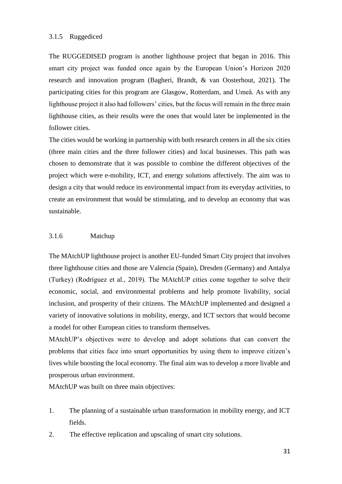#### <span id="page-35-0"></span>3.1.5 Ruggediced

The RUGGEDISED program is another lighthouse project that began in 2016. This smart city project was funded once again by the European Union's Horizon 2020 research and innovation program (Bagheri, Brandt, & van Oosterhout, 2021). The participating cities for this program are Glasgow, Rotterdam, and Umeå. As with any lighthouse project it also had followers' cities, but the focus will remain in the three main lighthouse cities, as their results were the ones that would later be implemented in the follower cities.

The cities would be working in partnership with both research centers in all the six cities (three main cities and the three follower cities) and local businesses. This path was chosen to demonstrate that it was possible to combine the different objectives of the project which were e-mobility, ICT, and energy solutions affectively. The aim was to design a city that would reduce its environmental impact from its everyday activities, to create an environment that would be stimulating, and to develop an economy that was sustainable.

#### <span id="page-35-1"></span>3.1.6 Matchup

The MAtchUP lighthouse project is another EU-funded Smart City project that involves three lighthouse cities and those are Valencia (Spain), Dresden (Germany) and Antalya (Turkey) (Rodríguez et al., 2019). The MAtchUP cities come together to solve their economic, social, and environmental problems and help promote livability, social inclusion, and prosperity of their citizens. The MAtchUP implemented and designed a variety of innovative solutions in mobility, energy, and ICT sectors that would become a model for other European cities to transform themselves.

MAtchUP's objectives were to develop and adopt solutions that can convert the problems that cities face into smart opportunities by using them to improve citizen's lives while boosting the local economy. The final aim was to develop a more livable and prosperous urban environment.

MAtchUP was built on three main objectives:

- 1. The planning of a sustainable urban transformation in mobility energy, and ICT fields.
- 2. The effective replication and upscaling of smart city solutions.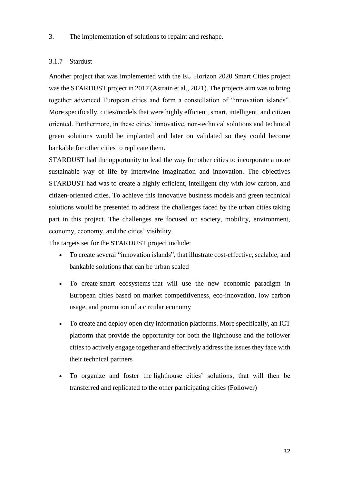#### 3. The implementation of solutions to repaint and reshape.

#### <span id="page-36-0"></span>3.1.7 Stardust

Another project that was implemented with the EU Horizon 2020 Smart Cities project was the STARDUST project in 2017 (Astrain et al., 2021). The projects aim was to bring together advanced European cities and form a constellation of "innovation islands". More specifically, cities/models that were highly efficient, smart, intelligent, and citizen oriented. Furthermore, in these cities' innovative, non-technical solutions and technical green solutions would be implanted and later on validated so they could become bankable for other cities to replicate them.

STARDUST had the opportunity to lead the way for other cities to incorporate a more sustainable way of life by intertwine imagination and innovation. The objectives STARDUST had was to create a highly efficient, intelligent city with low carbon, and citizen-oriented cities. To achieve this innovative business models and green technical solutions would be presented to address the challenges faced by the urban cities taking part in this project. The challenges are focused on society, mobility, environment, economy, economy, and the cities' visibility.

The targets set for the STARDUST project include:

- To create several "innovation islands", that illustrate cost-effective, scalable, and bankable solutions that can be urban scaled
- To create smart ecosystems that will use the new economic paradigm in European cities based on market competitiveness, eco-innovation, low carbon usage, and promotion of a circular economy
- To create and deploy open city information platforms. More specifically, an ICT platform that provide the opportunity for both the lighthouse and the follower cities to actively engage together and effectively address the issues they face with their technical partners
- To organize and foster the lighthouse cities' solutions, that will then be transferred and replicated to the other participating cities (Follower)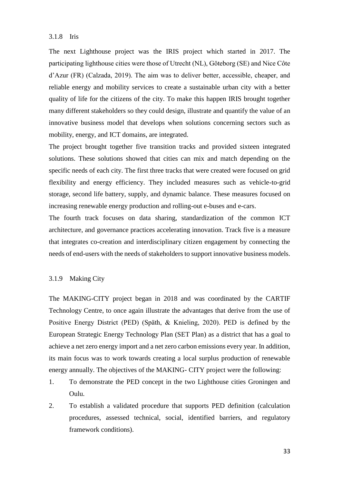#### <span id="page-37-0"></span>3.1.8 Iris

The next Lighthouse project was the IRIS project which started in 2017. The participating lighthouse cities were those of Utrecht (NL), Göteborg (SE) and Nice Côte d'Azur (FR) (Calzada, 2019). The aim was to deliver better, accessible, cheaper, and reliable energy and mobility services to create a sustainable urban city with a better quality of life for the citizens of the city. To make this happen IRIS brought together many different stakeholders so they could design, illustrate and quantify the value of an innovative business model that develops when solutions concerning sectors such as mobility, energy, and ICT domains, are integrated.

The project brought together five transition tracks and provided sixteen integrated solutions. These solutions showed that cities can mix and match depending on the specific needs of each city. The first three tracks that were created were focused on grid flexibility and energy efficiency. They included measures such as vehicle-to-grid storage, second life battery, supply, and dynamic balance. These measures focused on increasing renewable energy production and rolling-out e-buses and e-cars.

The fourth track focuses on data sharing, standardization of the common ICT architecture, and governance practices accelerating innovation. Track five is a measure that integrates co-creation and interdisciplinary citizen engagement by connecting the needs of end-users with the needs of stakeholders to support innovative business models.

#### <span id="page-37-1"></span>3.1.9 Making City

The MAKING-CITY project began in 2018 and was coordinated by the CARTIF Technology Centre, to once again illustrate the advantages that derive from the use of Positive Energy District (PED) (Späth, & Knieling, 2020). PED is defined by the European Strategic Energy Technology Plan (SET Plan) as a district that has a goal to achieve a net zero energy import and a net zero carbon emissions every year. In addition, its main focus was to work towards creating a local surplus production of renewable energy annually. The objectives of the MAKING- CITY project were the following:

- 1. To demonstrate the PED concept in the two Lighthouse cities Groningen and Oulu.
- 2. To establish a validated procedure that supports PED definition (calculation procedures, assessed technical, social, identified barriers, and regulatory framework conditions).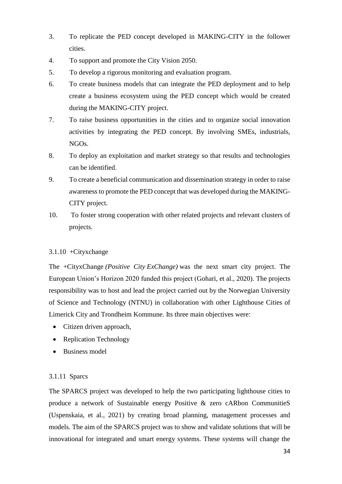- 3. To replicate the PED concept developed in MAKING-CITY in the follower cities.
- 4. To support and promote the City Vision 2050.
- 5. To develop a rigorous monitoring and evaluation program.
- 6. To create business models that can integrate the PED deployment and to help create a business ecosystem using the PED concept which would be created during the MAKING-CITY project.
- 7. To raise business opportunities in the cities and to organize social innovation activities by integrating the PED concept. By involving SMEs, industrials, NGOs.
- 8. To deploy an exploitation and market strategy so that results and technologies can be identified.
- 9. To create a beneficial communication and dissemination strategy in order to raise awareness to promote the PED concept that was developed during the MAKING-CITY project.
- 10. To foster strong cooperation with other related projects and relevant clusters of projects.

#### <span id="page-38-0"></span>3.1.10 +Cityxchange

The +CityxChange *(Positive City ExChange)* was the next smart city project. The European Union's Horizon 2020 funded this project (Gohari, et al., 2020). The projects responsibility was to host and lead the project carried out by the Norwegian University of Science and Technology (NTNU) in collaboration with other Lighthouse Cities of Limerick City and Trondheim Kommune. Its three main objectives were:

- Citizen driven approach,
- Replication Technology
- Business model

#### <span id="page-38-1"></span>3.1.11 Sparcs

The SPARCS project was developed to help the two participating lighthouse cities to produce a network of Sustainable energy Positive & zero cARbon CommunitieS (Uspenskaia, et al., 2021) by creating broad planning, management processes and models. The aim of the SPARCS project was to show and validate solutions that will be innovational for integrated and smart energy systems. These systems will change the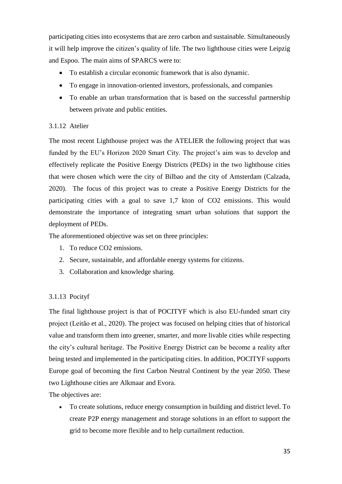participating cities into ecosystems that are zero carbon and sustainable. Simultaneously it will help improve the citizen's quality of life. The two lighthouse cities were Leipzig and Espoo. The main aims of SPARCS were to:

- To establish a circular economic framework that is also dynamic.
- To engage in innovation-oriented investors, professionals, and companies
- To enable an urban transformation that is based on the successful partnership between private and public entities.

#### <span id="page-39-0"></span>3.1.12 Atelier

The most recent Lighthouse project was the ATELIER the following project that was funded by the EU's Horizon 2020 Smart City. The project's aim was to develop and effectively replicate the Positive Energy Districts (PEDs) in the two lighthouse cities that were chosen which were the city of Bilbao and the city of Amsterdam (Calzada, 2020). The focus of this project was to create a Positive Energy Districts for the participating cities with a goal to save 1,7 kton of CO2 emissions. This would demonstrate the importance of integrating smart urban solutions that support the deployment of PEDs.

The aforementioned objective was set on three principles:

- 1. To reduce CO2 emissions.
- 2. Secure, sustainable, and affordable energy systems for citizens.
- 3. Collaboration and knowledge sharing.

### <span id="page-39-1"></span>3.1.13 Pocityf

The final lighthouse project is that of POCITYF which is also EU-funded smart city project (Leitão et al., 2020). The project was focused on helping cities that of historical value and transform them into greener, smarter, and more livable cities while respecting the city's cultural heritage. The Positive Energy District can be become a reality after being tested and implemented in the participating cities. In addition, POCITYF supports Europe goal of becoming the first Carbon Neutral Continent by the year 2050. These two Lighthouse cities are Alkmaar and Evora.

The objectives are:

 To create solutions, reduce energy consumption in building and district level. To create P2P energy management and storage solutions in an effort to support the grid to become more flexible and to help curtailment reduction.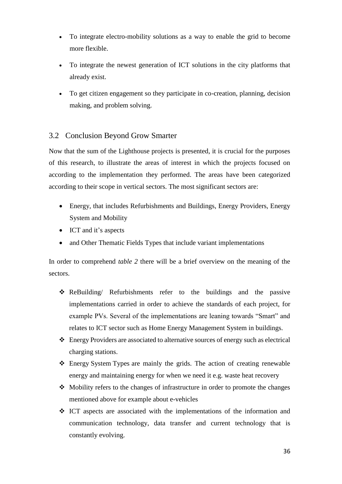- To integrate electro-mobility solutions as a way to enable the grid to become more flexible.
- To integrate the newest generation of ICT solutions in the city platforms that already exist.
- To get citizen engagement so they participate in co-creation, planning, decision making, and problem solving.

# <span id="page-40-0"></span>3.2 Conclusion Beyond Grow Smarter

Now that the sum of the Lighthouse projects is presented, it is crucial for the purposes of this research, to illustrate the areas of interest in which the projects focused on according to the implementation they performed. The areas have been categorized according to their scope in vertical sectors. The most significant sectors are:

- Energy, that includes Refurbishments and Buildings, Energy Providers, Energy System and Mobility
- ICT and it's aspects
- and Other Thematic Fields Types that include variant implementations

In order to comprehend *table 2* there will be a brief overview on the meaning of the sectors.

- ReBuilding/ Refurbishments refer to the buildings and the passive implementations carried in order to achieve the standards of each project, for example PVs. Several of the implementations are leaning towards "Smart" and relates to ICT sector such as Home Energy Management System in buildings.
- Energy Providers are associated to alternative sources of energy such as electrical charging stations.
- Energy System Types are mainly the grids. The action of creating renewable energy and maintaining energy for when we need it e.g. waste heat recovery
- $\triangle$  Mobility refers to the changes of infrastructure in order to promote the changes mentioned above for example about e-vehicles
- $\div$  ICT aspects are associated with the implementations of the information and communication technology, data transfer and current technology that is constantly evolving.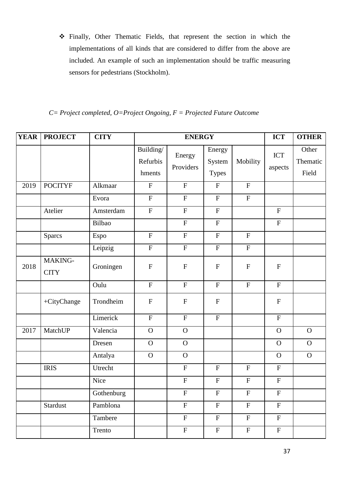Finally, Other Thematic Fields, that represent the section in which the implementations of all kinds that are considered to differ from the above are included. An example of such an implementation should be traffic measuring sensors for pedestrians (Stockholm).

*C= Project completed, O=Project Ongoing, F = Projected Future Outcome*

| <b>YEAR</b> | <b>PROJECT</b>         | <b>CITY</b> | <b>ENERGY</b>                   |                           |                                  |                           | <b>ICT</b>                | <b>OTHER</b>               |
|-------------|------------------------|-------------|---------------------------------|---------------------------|----------------------------------|---------------------------|---------------------------|----------------------------|
|             |                        |             | Building/<br>Refurbis<br>hments | Energy<br>Providers       | Energy<br>System<br><b>Types</b> | Mobility                  | ICT<br>aspects            | Other<br>Thematic<br>Field |
| 2019        | <b>POCITYF</b>         | Alkmaar     | $\mathbf F$                     | $\mathbf{F}$              | $\boldsymbol{\mathrm{F}}$        | $\boldsymbol{\mathrm{F}}$ |                           |                            |
|             |                        | Evora       | $\mathbf F$                     | $\boldsymbol{\mathrm{F}}$ | $\mathbf F$                      | $\boldsymbol{\mathrm{F}}$ |                           |                            |
|             | Atelier                | Amsterdam   | ${\bf F}$                       | ${\bf F}$                 | $\mathbf F$                      |                           | ${\bf F}$                 |                            |
|             |                        | Bilbao      |                                 | ${\bf F}$                 | $\mathbf F$                      |                           | $\boldsymbol{\mathrm{F}}$ |                            |
|             | <b>Sparcs</b>          | Espo        | ${\bf F}$                       | $\boldsymbol{\mathrm{F}}$ | $\mathbf F$                      | ${\bf F}$                 |                           |                            |
|             |                        | Leipzig     | $\mathbf F$                     | $\boldsymbol{\mathrm{F}}$ | $\boldsymbol{\mathrm{F}}$        | ${\bf F}$                 |                           |                            |
| 2018        | MAKING-<br><b>CITY</b> | Groningen   | ${\bf F}$                       | $\mathbf F$               | ${\bf F}$                        | $\boldsymbol{\mathrm{F}}$ | ${\bf F}$                 |                            |
|             |                        | Oulu        | $\overline{F}$                  | ${\bf F}$                 | $\mathbf F$                      | $\boldsymbol{\mathrm{F}}$ | ${\bf F}$                 |                            |
|             | +CityChange            | Trondheim   | $\boldsymbol{\mathrm{F}}$       | $\mathbf F$               | ${\bf F}$                        |                           | ${\bf F}$                 |                            |
|             |                        | Limerick    | $\boldsymbol{\mathrm{F}}$       | ${\bf F}$                 | ${\bf F}$                        |                           | ${\bf F}$                 |                            |
| 2017        | MatchUP                | Valencia    | $\mathbf{O}$                    | $\mathbf O$               |                                  |                           | $\mathbf O$               | $\mathbf{O}$               |
|             |                        | Dresen      | $\mathbf{O}$                    | $\mathbf O$               |                                  |                           | $\mathbf O$               | $\mathbf{O}$               |
|             |                        | Antalya     | $\mathbf{O}$                    | $\mathbf O$               |                                  |                           | $\mathbf O$               | $\mathbf{O}$               |
|             | <b>IRIS</b>            | Utrecht     |                                 | ${\bf F}$                 | $\boldsymbol{\mathrm{F}}$        | $\boldsymbol{\mathrm{F}}$ | $\boldsymbol{\mathrm{F}}$ |                            |
|             |                        | Nice        |                                 | ${\bf F}$                 | ${\bf F}$                        | ${\bf F}$                 | ${\bf F}$                 |                            |
|             |                        | Gothenburg  |                                 | ${\bf F}$                 | ${\bf F}$                        | ${\bf F}$                 | ${\bf F}$                 |                            |
|             | Stardust               | Pamblona    |                                 | $\overline{F}$            | $\mathbf F$                      | $\mathbf F$               | $\overline{F}$            |                            |
|             |                        | Tambere     |                                 | $\mathbf F$               | $\mathbf F$                      | ${\bf F}$                 | ${\bf F}$                 |                            |
|             |                        | Trento      |                                 | $\boldsymbol{\mathrm{F}}$ | $\mathbf F$                      | $\mathbf F$               | $\mathbf F$               |                            |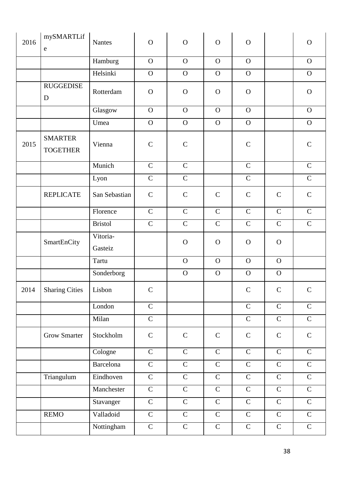| 2016 | mySMARTLif<br>${\rm e}$           | <b>Nantes</b>       | $\mathbf{O}$  | $\mathbf{O}$   | $\mathbf O$  | $\mathbf{O}$ |              | $\mathbf{O}$ |
|------|-----------------------------------|---------------------|---------------|----------------|--------------|--------------|--------------|--------------|
|      |                                   | Hamburg             | $\mathbf{O}$  | $\overline{O}$ | $\mathbf{O}$ | $\mathbf{O}$ |              | $\mathbf{O}$ |
|      |                                   | Helsinki            | $\mathbf O$   | $\mathbf{O}$   | $\mathbf{O}$ | $\mathbf{O}$ |              | $\mathbf{O}$ |
|      | <b>RUGGEDISE</b><br>D             | Rotterdam           | $\mathbf O$   | $\mathbf O$    | $\mathbf{O}$ | $\mathbf O$  |              | $\mathbf{O}$ |
|      |                                   | Glasgow             | $\mathbf{O}$  | $\mathbf O$    | $\mathbf{O}$ | $\mathbf{O}$ |              | $\mathbf{O}$ |
|      |                                   | Umea                | $\mathbf O$   | $\mathbf O$    | $\mathbf O$  | $\mathbf{O}$ |              | $\mathbf{O}$ |
| 2015 | <b>SMARTER</b><br><b>TOGETHER</b> | Vienna              | $\mathsf{C}$  | $\mathbf C$    |              | $\mathbf C$  |              | $\mathbf C$  |
|      |                                   | Munich              | $\mathbf C$   | $\mathcal{C}$  |              | ${\bf C}$    |              | $\mathbf C$  |
|      |                                   | Lyon                | $\mathbf C$   | $\mathbf C$    |              | $\mathbf C$  |              | $\mathbf C$  |
|      | <b>REPLICATE</b>                  | San Sebastian       | $\mathbf C$   | $\mathbf C$    | $\mathbf C$  | $\mathbf C$  | $\mathsf{C}$ | $\mathbf C$  |
|      |                                   | Florence            | $\mathbf C$   | $\mathbf C$    | $\mathsf{C}$ | ${\bf C}$    | $\mathbf C$  | $\mathbf C$  |
|      |                                   | <b>Bristol</b>      | $\mathbf C$   | $\mathbf C$    | $\mathbf C$  | $\mathbf C$  | $\mathbf C$  | $\mathsf{C}$ |
|      | SmartEnCity                       | Vitoria-<br>Gasteiz |               | $\mathbf O$    | $\mathbf O$  | $\mathbf{O}$ | $\mathbf{O}$ |              |
|      |                                   | Tartu               |               | $\mathbf O$    | $\mathbf{O}$ | $\mathbf{O}$ | $\mathbf O$  |              |
|      |                                   | Sonderborg          |               | $\Omega$       | $\mathbf{O}$ | $\mathbf{O}$ | $\mathbf{O}$ |              |
|      | 2014 Sharing Cities               | Lisbon              | $\mathcal{C}$ |                |              | $\mathbf C$  | $\mathbf C$  | $\mathbf C$  |
|      |                                   | London              | $\mathbf C$   |                |              | $\mathbf C$  | $\mathbf C$  | ${\bf C}$    |
|      |                                   | Milan               | $\mathsf{C}$  |                |              | $\mathbf C$  | $\mathbf C$  | $\mathsf{C}$ |
|      | <b>Grow Smarter</b>               | Stockholm           | $\mathsf C$   | $\mathbf C$    | $\mathbf C$  | $\mathbf C$  | $\mathbf C$  | ${\bf C}$    |
|      |                                   | Cologne             | $\mathbf C$   | $\mathbf C$    | $\mathbf C$  | $\mathbf C$  | $\mathbf C$  | $\mathbf C$  |
|      |                                   | Barcelona           | $\mathbf C$   | $\mathbf C$    | $\mathbf C$  | $\mathbf C$  | $\mathbf C$  | $\mathsf{C}$ |
|      | Triangulum                        | Eindhoven           | $\mathbf C$   | $\mathbf C$    | ${\bf C}$    | ${\bf C}$    | $\mathbf C$  | $\mathbf C$  |
|      |                                   | Manchester          | $\mathsf{C}$  | $\mathbf C$    | ${\bf C}$    | ${\bf C}$    | $\mathbf C$  | $\mathsf{C}$ |
|      |                                   | Stavanger           | $\mathbf C$   | $\mathbf C$    | ${\bf C}$    | $\mathbf C$  | $\mathbf C$  | $\mathsf{C}$ |
|      | <b>REMO</b>                       | Valladoid           | ${\bf C}$     | $\mathbf C$    | $\mathbf C$  | $\mathsf{C}$ | $\mathbf C$  | $\mathsf{C}$ |
|      |                                   | Nottingham          | $\mathbf C$   | $\mathbf C$    | $\mathsf{C}$ | $\mathsf{C}$ | $\mathbf C$  | $\mathbf C$  |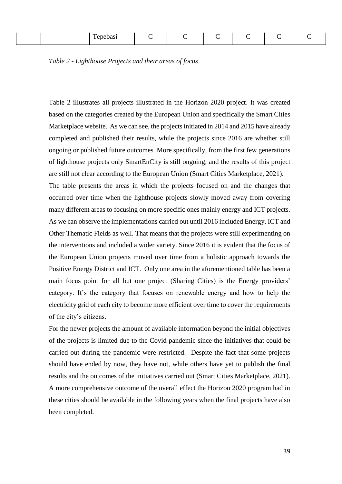| ┳<br><b><i><u>ALCO</u></i></b><br>$\sim$ $\sim$ $\sim$<br>-ыа.<br>. .<br>. |  |  |  |  |  |  |
|----------------------------------------------------------------------------|--|--|--|--|--|--|
|----------------------------------------------------------------------------|--|--|--|--|--|--|

<span id="page-43-0"></span>

|  |  | Table 2 - Lighthouse Projects and their areas of focus |
|--|--|--------------------------------------------------------|
|  |  |                                                        |

Table 2 illustrates all projects illustrated in the Horizon 2020 project. It was created based on the categories created by the European Union and specifically the Smart Cities Marketplace website. As we can see, the projects initiated in 2014 and 2015 have already completed and published their results, while the projects since 2016 are whether still ongoing or published future outcomes. More specifically, from the first few generations of lighthouse projects only SmartEnCity is still ongoing, and the results of this project are still not clear according to the European Union (Smart Cities Marketplace, 2021). The table presents the areas in which the projects focused on and the changes that occurred over time when the lighthouse projects slowly moved away from covering many different areas to focusing on more specific ones mainly energy and ICT projects. As we can observe the implementations carried out until 2016 included Energy, ICT and Other Thematic Fields as well. That means that the projects were still experimenting on the interventions and included a wider variety. Since 2016 it is evident that the focus of the European Union projects moved over time from a holistic approach towards the Positive Energy District and ICT. Only one area in the aforementioned table has been a main focus point for all but one project (Sharing Cities) is the Energy providers' category. It's the category that focuses on renewable energy and how to help the electricity grid of each city to become more efficient over time to cover the requirements of the city's citizens.

For the newer projects the amount of available information beyond the initial objectives of the projects is limited due to the Covid pandemic since the initiatives that could be carried out during the pandemic were restricted. Despite the fact that some projects should have ended by now, they have not, while others have yet to publish the final results and the outcomes of the initiatives carried out (Smart Cities Marketplace, 2021). A more comprehensive outcome of the overall effect the Horizon 2020 program had in these cities should be available in the following years when the final projects have also been completed.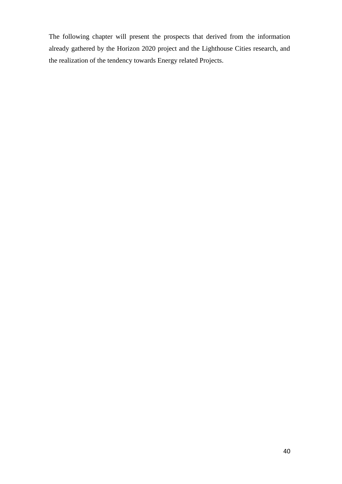The following chapter will present the prospects that derived from the information already gathered by the Horizon 2020 project and the Lighthouse Cities research, and the realization of the tendency towards Energy related Projects.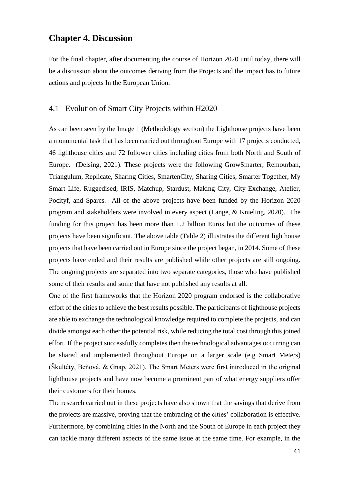# <span id="page-45-0"></span>**Chapter 4. Discussion**

For the final chapter, after documenting the course of Horizon 2020 until today, there will be a discussion about the outcomes deriving from the Projects and the impact has to future actions and projects In the European Union.

#### <span id="page-45-1"></span>4.1 Evolution of Smart City Projects within H2020

As can been seen by the Image 1 (Methodology section) the Lighthouse projects have been a monumental task that has been carried out throughout Europe with 17 projects conducted, 46 lighthouse cities and 72 follower cities including cities from both North and South of Europe. (Delsing, 2021). These projects were the following GrowSmarter, Remourban, Triangulum, Replicate, Sharing Cities, SmartenCity, Sharing Cities, Smarter Together, My Smart Life, Ruggedised, IRIS, Matchup, Stardust, Making City, City Exchange, Atelier, Pocityf, and Sparcs. All of the above projects have been funded by the Horizon 2020 program and stakeholders were involved in every aspect (Lange, & Knieling, 2020). The funding for this project has been more than 1.2 billion Euros but the outcomes of these projects have been significant. The above table (Table 2) illustrates the different lighthouse projects that have been carried out in Europe since the project began, in 2014. Some of these projects have ended and their results are published while other projects are still ongoing. The ongoing projects are separated into two separate categories, those who have published some of their results and some that have not published any results at all.

One of the first frameworks that the Horizon 2020 program endorsed is the collaborative effort of the cities to achieve the best results possible. The participants of lighthouse projects are able to exchange the technological knowledge required to complete the projects, and can divide amongst each other the potential risk, while reducing the total cost through this joined effort. If the project successfully completes then the technological advantages occurring can be shared and implemented throughout Europe on a larger scale (e.g Smart Meters) (Škultéty, Beňová, & Gnap, 2021). The Smart Meters were first introduced in the original lighthouse projects and have now become a prominent part of what energy suppliers offer their customers for their homes.

The research carried out in these projects have also shown that the savings that derive from the projects are massive, proving that the embracing of the cities' collaboration is effective. Furthermore, by combining cities in the North and the South of Europe in each project they can tackle many different aspects of the same issue at the same time. For example, in the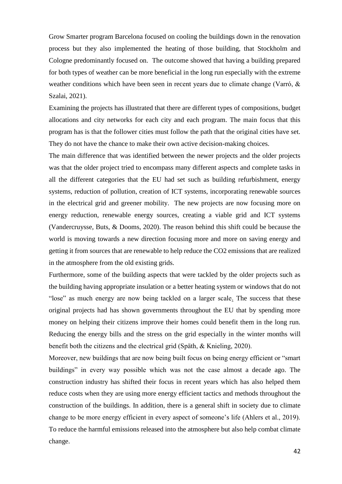Grow Smarter program Barcelona focused on cooling the buildings down in the renovation process but they also implemented the heating of those building, that Stockholm and Cologne predominantly focused on. The outcome showed that having a building prepared for both types of weather can be more beneficial in the long run especially with the extreme weather conditions which have been seen in recent years due to climate change (Varró, & Szalai, 2021).

Examining the projects has illustrated that there are different types of compositions, budget allocations and city networks for each city and each program. The main focus that this program has is that the follower cities must follow the path that the original cities have set. They do not have the chance to make their own active decision-making choices.

The main difference that was identified between the newer projects and the older projects was that the older project tried to encompass many different aspects and complete tasks in all the different categories that the EU had set such as building refurbishment, energy systems, reduction of pollution, creation of ICT systems, incorporating renewable sources in the electrical grid and greener mobility. The new projects are now focusing more on energy reduction, renewable energy sources, creating a viable grid and ICT systems (Vandercruysse, Buts, & Dooms, 2020). The reason behind this shift could be because the world is moving towards a new direction focusing more and more on saving energy and getting it from sources that are renewable to help reduce the CO2 emissions that are realized in the atmosphere from the old existing grids.

Furthermore, some of the building aspects that were tackled by the older projects such as the building having appropriate insulation or a better heating system or windows that do not "lose" as much energy are now being tackled on a larger scale. The success that these original projects had has shown governments throughout the EU that by spending more money on helping their citizens improve their homes could benefit them in the long run. Reducing the energy bills and the stress on the grid especially in the winter months will benefit both the citizens and the electrical grid (Späth, & Knieling, 2020).

Moreover, new buildings that are now being built focus on being energy efficient or "smart buildings" in every way possible which was not the case almost a decade ago. The construction industry has shifted their focus in recent years which has also helped them reduce costs when they are using more energy efficient tactics and methods throughout the construction of the buildings. In addition, there is a general shift in society due to climate change to be more energy efficient in every aspect of someone's life (Ahlers et al., 2019). To reduce the harmful emissions released into the atmosphere but also help combat climate change.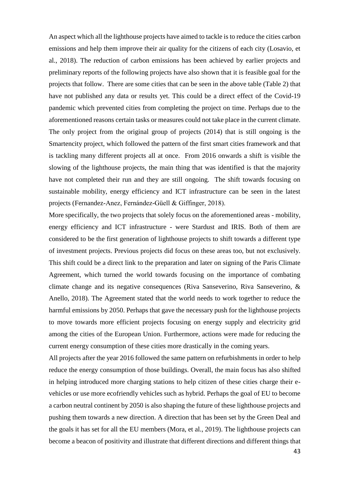An aspect which all the lighthouse projects have aimed to tackle is to reduce the cities carbon emissions and help them improve their air quality for the citizens of each city (Losavio, et al., 2018). The reduction of carbon emissions has been achieved by earlier projects and preliminary reports of the following projects have also shown that it is feasible goal for the projects that follow. There are some cities that can be seen in the above table (Table 2) that have not published any data or results yet. This could be a direct effect of the Covid-19 pandemic which prevented cities from completing the project on time. Perhaps due to the aforementioned reasons certain tasks or measures could not take place in the current climate. The only project from the original group of projects (2014) that is still ongoing is the Smartencity project, which followed the pattern of the first smart cities framework and that is tackling many different projects all at once. From 2016 onwards a shift is visible the slowing of the lighthouse projects, the main thing that was identified is that the majority have not completed their run and they are still ongoing. The shift towards focusing on sustainable mobility, energy efficiency and ICT infrastructure can be seen in the latest projects (Fernandez-Anez, Fernández-Güell & Giffinger, 2018).

More specifically, the two projects that solely focus on the aforementioned areas - mobility, energy efficiency and ICT infrastructure - were Stardust and IRIS. Both of them are considered to be the first generation of lighthouse projects to shift towards a different type of investment projects. Previous projects did focus on these areas too, but not exclusively. This shift could be a direct link to the preparation and later on signing of the Paris Climate Agreement, which turned the world towards focusing on the importance of combating climate change and its negative consequences (Riva Sanseverino, Riva Sanseverino, & Anello, 2018). The Agreement stated that the world needs to work together to reduce the harmful emissions by 2050. Perhaps that gave the necessary push for the lighthouse projects to move towards more efficient projects focusing on energy supply and electricity grid among the cities of the European Union. Furthermore, actions were made for reducing the current energy consumption of these cities more drastically in the coming years.

All projects after the year 2016 followed the same pattern on refurbishments in order to help reduce the energy consumption of those buildings. Overall, the main focus has also shifted in helping introduced more charging stations to help citizen of these cities charge their evehicles or use more ecofriendly vehicles such as hybrid. Perhaps the goal of EU to become a carbon neutral continent by 2050 is also shaping the future of these lighthouse projects and pushing them towards a new direction. A direction that has been set by the Green Deal and the goals it has set for all the EU members (Mora, et al., 2019). The lighthouse projects can become a beacon of positivity and illustrate that different directions and different things that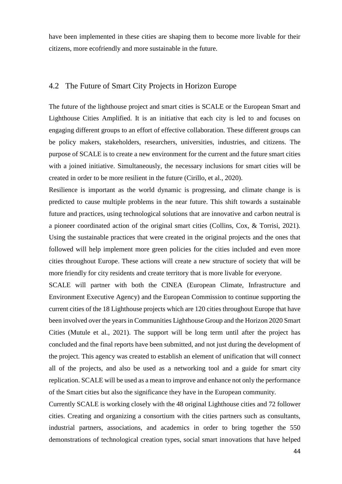have been implemented in these cities are shaping them to become more livable for their citizens, more ecofriendly and more sustainable in the future.

#### <span id="page-48-0"></span>4.2 The Future of Smart City Projects in Horizon Europe

The future of the lighthouse project and smart cities is SCALE or the European Smart and Lighthouse Cities Amplified. It is an initiative that each city is led to and focuses on engaging different groups to an effort of effective collaboration. These different groups can be policy makers, stakeholders, researchers, universities, industries, and citizens. The purpose of SCALE is to create a new environment for the current and the future smart cities with a joined initiative. Simultaneously, the necessary inclusions for smart cities will be created in order to be more resilient in the future (Cirillo, et al., 2020).

Resilience is important as the world dynamic is progressing, and climate change is is predicted to cause multiple problems in the near future. This shift towards a sustainable future and practices, using technological solutions that are innovative and carbon neutral is a pioneer coordinated action of the original smart cities (Collins, Cox, & Torrisi, 2021). Using the sustainable practices that were created in the original projects and the ones that followed will help implement more green policies for the cities included and even more cities throughout Europe. These actions will create a new structure of society that will be more friendly for city residents and create territory that is more livable for everyone.

SCALE will partner with both the CINEA (European Climate, Infrastructure and Environment Executive Agency) and the European Commission to continue supporting the current cities of the 18 Lighthouse projects which are 120 cities throughout Europe that have been involved over the years in Communities Lighthouse Group and the Horizon 2020 Smart Cities (Mutule et al., 2021). The support will be long term until after the project has concluded and the final reports have been submitted, and not just during the development of the project. This agency was created to establish an element of unification that will connect all of the projects, and also be used as a networking tool and a guide for smart city replication. SCALE will be used as a mean to improve and enhance not only the performance of the Smart cities but also the significance they have in the European community.

Currently SCALE is working closely with the 48 original Lighthouse cities and 72 follower cities. Creating and organizing a consortium with the cities partners such as consultants, industrial partners, associations, and academics in order to bring together the 550 demonstrations of technological creation types, social smart innovations that have helped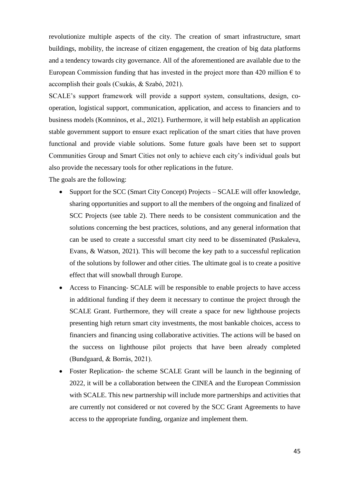revolutionize multiple aspects of the city. The creation of smart infrastructure, smart buildings, mobility, the increase of citizen engagement, the creation of big data platforms and a tendency towards city governance. All of the aforementioned are available due to the European Commission funding that has invested in the project more than 420 million  $\epsilon$  to accomplish their goals (Csukás, & Szabó, 2021).

SCALE's support framework will provide a support system, consultations, design, cooperation, logistical support, communication, application, and access to financiers and to business models (Komninos, et al., 2021). Furthermore, it will help establish an application stable government support to ensure exact replication of the smart cities that have proven functional and provide viable solutions. Some future goals have been set to support Communities Group and Smart Cities not only to achieve each city's individual goals but also provide the necessary tools for other replications in the future.

The goals are the following:

- Support for the SCC (Smart City Concept) Projects SCALE will offer knowledge, sharing opportunities and support to all the members of the ongoing and finalized of SCC Projects (see table 2). There needs to be consistent communication and the solutions concerning the best practices, solutions, and any general information that can be used to create a successful smart city need to be disseminated (Paskaleva, Evans, & Watson, 2021). This will become the key path to a successful replication of the solutions by follower and other cities. The ultimate goal is to create a positive effect that will snowball through Europe.
- Access to Financing- SCALE will be responsible to enable projects to have access in additional funding if they deem it necessary to continue the project through the SCALE Grant. Furthermore, they will create a space for new lighthouse projects presenting high return smart city investments, the most bankable choices, access to financiers and financing using collaborative activities. The actions will be based on the success on lighthouse pilot projects that have been already completed (Bundgaard, & Borrás, 2021).
- Foster Replication- the scheme SCALE Grant will be launch in the beginning of 2022, it will be a collaboration between the CINEA and the European Commission with SCALE. This new partnership will include more partnerships and activities that are currently not considered or not covered by the SCC Grant Agreements to have access to the appropriate funding, organize and implement them.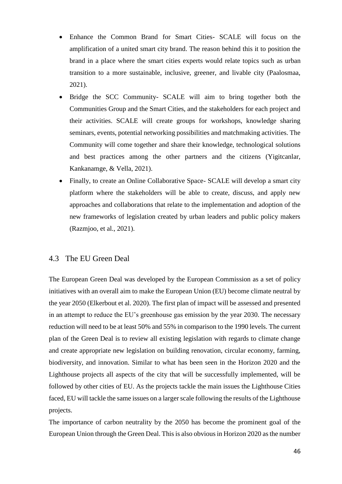- Enhance the Common Brand for Smart Cities- SCALE will focus on the amplification of a united smart city brand. The reason behind this it to position the brand in a place where the smart cities experts would relate topics such as urban transition to a more sustainable, inclusive, greener, and livable city (Paalosmaa, 2021).
- Bridge the SCC Community- SCALE will aim to bring together both the Communities Group and the Smart Cities, and the stakeholders for each project and their activities. SCALE will create groups for workshops, knowledge sharing seminars, events, potential networking possibilities and matchmaking activities. The Community will come together and share their knowledge, technological solutions and best practices among the other partners and the citizens (Yigitcanlar, Kankanamge, & Vella, 2021).
- Finally, to create an Online Collaborative Space- SCALE will develop a smart city platform where the stakeholders will be able to create, discuss, and apply new approaches and collaborations that relate to the implementation and adoption of the new frameworks of legislation created by urban leaders and public policy makers (Razmjoo, et al., 2021).

### <span id="page-50-0"></span>4.3 The EU Green Deal

The European Green Deal was developed by the European Commission as a set of policy initiatives with an overall aim to make the European Union (EU) become climate neutral by the year 2050 (Elkerbout et al. 2020). The first plan of impact will be assessed and presented in an attempt to reduce the EU's greenhouse gas emission by the year 2030. The necessary reduction will need to be at least 50% and 55% in comparison to the 1990 levels. The current plan of the Green Deal is to review all existing legislation with regards to climate change and create appropriate new legislation on building renovation, circular economy, farming, biodiversity, and innovation. Similar to what has been seen in the Horizon 2020 and the Lighthouse projects all aspects of the city that will be successfully implemented, will be followed by other cities of EU. As the projects tackle the main issues the Lighthouse Cities faced, EU will tackle the same issues on a larger scale following the results of the Lighthouse projects.

The importance of carbon neutrality by the 2050 has become the prominent goal of the European Union through the Green Deal. This is also obvious in Horizon 2020 as the number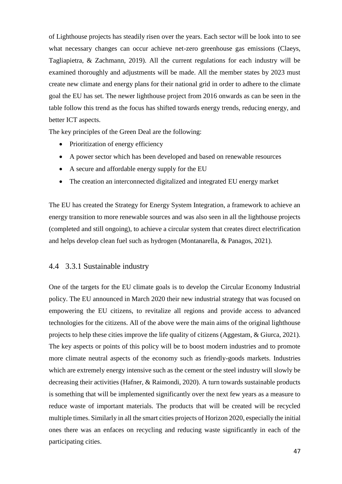of Lighthouse projects has steadily risen over the years. Each sector will be look into to see what necessary changes can occur achieve net-zero greenhouse gas emissions (Claeys, Tagliapietra, & Zachmann, 2019). All the current regulations for each industry will be examined thoroughly and adjustments will be made. All the member states by 2023 must create new climate and energy plans for their national grid in order to adhere to the climate goal the EU has set. The newer lighthouse project from 2016 onwards as can be seen in the table follow this trend as the focus has shifted towards energy trends, reducing energy, and better ICT aspects.

The key principles of the Green Deal are the following:

- Prioritization of energy efficiency
- A power sector which has been developed and based on renewable resources
- A secure and affordable energy supply for the EU
- The creation an interconnected digitalized and integrated EU energy market

The EU has created the Strategy for Energy System Integration, a framework to achieve an energy transition to more renewable sources and was also seen in all the lighthouse projects (completed and still ongoing), to achieve a circular system that creates direct electrification and helps develop clean fuel such as hydrogen (Montanarella, & Panagos, 2021).

#### <span id="page-51-0"></span>4.4 3.3.1 Sustainable industry

One of the targets for the EU climate goals is to develop the Circular Economy Industrial policy. The EU announced in March 2020 their new industrial strategy that was focused on empowering the EU citizens, to revitalize all regions and provide access to advanced technologies for the citizens. All of the above were the main aims of the original lighthouse projects to help these cities improve the life quality of citizens (Aggestam, & Giurca, 2021). The key aspects or points of this policy will be to boost modern industries and to promote more climate neutral aspects of the economy such as friendly-goods markets. Industries which are extremely energy intensive such as the cement or the steel industry will slowly be decreasing their activities (Hafner, & Raimondi, 2020). A turn towards sustainable products is something that will be implemented significantly over the next few years as a measure to reduce waste of important materials. The products that will be created will be recycled multiple times. Similarly in all the smart cities projects of Horizon 2020, especially the initial ones there was an enfaces on recycling and reducing waste significantly in each of the participating cities.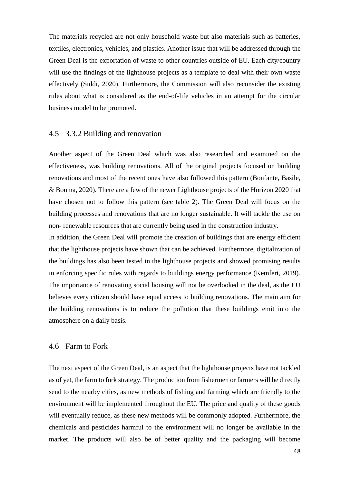The materials recycled are not only household waste but also materials such as batteries, textiles, electronics, vehicles, and plastics. Another issue that will be addressed through the Green Deal is the exportation of waste to other countries outside of EU. Each city/country will use the findings of the lighthouse projects as a template to deal with their own waste effectively (Siddi, 2020). Furthermore, the Commission will also reconsider the existing rules about what is considered as the end-of-life vehicles in an attempt for the circular business model to be promoted.

#### <span id="page-52-0"></span>4.5 3.3.2 Building and renovation

Another aspect of the Green Deal which was also researched and examined on the effectiveness, was building renovations. All of the original projects focused on building renovations and most of the recent ones have also followed this pattern (Bonfante, Basile, & Bouma, 2020). There are a few of the newer Lighthouse projects of the Horizon 2020 that have chosen not to follow this pattern (see table 2). The Green Deal will focus on the building processes and renovations that are no longer sustainable. It will tackle the use on non- renewable resources that are currently being used in the construction industry.

In addition, the Green Deal will promote the creation of buildings that are energy efficient that the lighthouse projects have shown that can be achieved. Furthermore, digitalization of the buildings has also been tested in the lighthouse projects and showed promising results in enforcing specific rules with regards to buildings energy performance (Kemfert, 2019). The importance of renovating social housing will not be overlooked in the deal, as the EU believes every citizen should have equal access to building renovations. The main aim for the building renovations is to reduce the pollution that these buildings emit into the atmosphere on a daily basis.

#### <span id="page-52-1"></span>4.6 Farm to Fork

The next aspect of the Green Deal, is an aspect that the lighthouse projects have not tackled as of yet, the farm to fork strategy. The production from fishermen or farmers will be directly send to the nearby cities, as new methods of fishing and farming which are friendly to the environment will be implemented throughout the EU. The price and quality of these goods will eventually reduce, as these new methods will be commonly adopted. Furthermore, the chemicals and pesticides harmful to the environment will no longer be available in the market. The products will also be of better quality and the packaging will become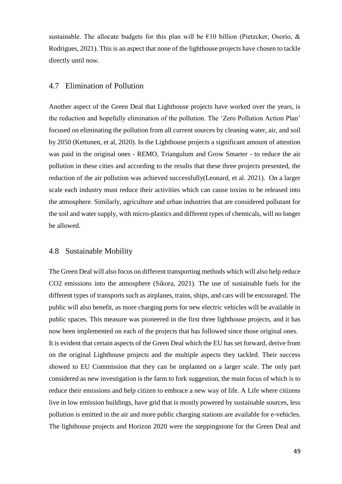sustainable. The allocate budgets for this plan will be  $E10$  billion (Pietzcker, Osorio, & Rodrigues, 2021). This is an aspect that none of the lighthouse projects have chosen to tackle directly until now.

#### <span id="page-53-0"></span>4.7 Elimination of Pollution

Another aspect of the Green Deal that Lighthouse projects have worked over the years, is the reduction and hopefully elimination of the pollution. The 'Zero Pollution Action Plan' focused on eliminating the pollution from all current sources by cleaning water, air, and soil by 2050 (Kettunen, et al, 2020). In the Lighthouse projects a significant amount of attention was paid in the original ones - REMO, Triangulum and Grow Smarter - to reduce the air pollution in these cities and according to the results that these three projects presented, the reduction of the air pollution was achieved successfully(Leonard, et al. 2021). On a larger scale each industry must reduce their activities which can cause toxins to be released into the atmosphere. Similarly, agriculture and urban industries that are considered pollutant for the soil and water supply, with micro-plastics and different types of chemicals, will no longer be allowed.

#### <span id="page-53-1"></span>4.8 Sustainable Mobility

The Green Deal will also focus on different transporting methods which will also help reduce CO2 emissions into the atmosphere (Sikora, 2021). The use of sustainable fuels for the different types of transports such as airplanes, trains, ships, and cars will be encouraged. The public will also benefit, as more charging ports for new electric vehicles will be available in public spaces. This measure was pioneered in the first three lighthouse projects, and it has now been implemented on each of the projects that has followed since those original ones. It is evident that certain aspects of the Green Deal which the EU has set forward, derive from on the original Lighthouse projects and the multiple aspects they tackled. Their success showed to EU Commission that they can be implanted on a larger scale. The only part considered as new investigation is the farm to fork suggestion, the main focus of which is to reduce their emissions and help citizen to embrace a new way of life. A Life where citizens live in low emission buildings, have grid that is mostly powered by sustainable sources, less pollution is emitted in the air and more public charging stations are available for e-vehicles. The lighthouse projects and Horizon 2020 were the steppingstone for the Green Deal and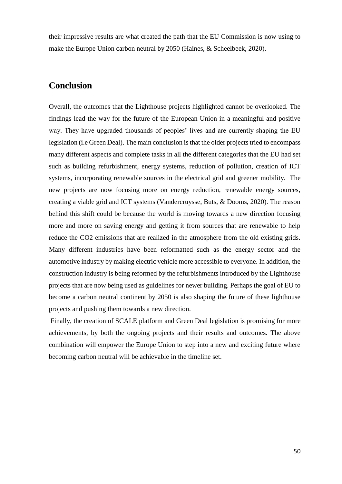their impressive results are what created the path that the EU Commission is now using to make the Europe Union carbon neutral by 2050 (Haines, & Scheelbeek, 2020).

# <span id="page-54-0"></span>**Conclusion**

Overall, the outcomes that the Lighthouse projects highlighted cannot be overlooked. The findings lead the way for the future of the European Union in a meaningful and positive way. They have upgraded thousands of peoples' lives and are currently shaping the EU legislation (i.e Green Deal). The main conclusion is that the older projects tried to encompass many different aspects and complete tasks in all the different categories that the EU had set such as building refurbishment, energy systems, reduction of pollution, creation of ICT systems, incorporating renewable sources in the electrical grid and greener mobility. The new projects are now focusing more on energy reduction, renewable energy sources, creating a viable grid and ICT systems (Vandercruysse, Buts, & Dooms, 2020). The reason behind this shift could be because the world is moving towards a new direction focusing more and more on saving energy and getting it from sources that are renewable to help reduce the CO2 emissions that are realized in the atmosphere from the old existing grids. Many different industries have been reformatted such as the energy sector and the automotive industry by making electric vehicle more accessible to everyone. In addition, the construction industry is being reformed by the refurbishments introduced by the Lighthouse projects that are now being used as guidelines for newer building. Perhaps the goal of EU to become a carbon neutral continent by 2050 is also shaping the future of these lighthouse projects and pushing them towards a new direction.

Finally, the creation of SCALE platform and Green Deal legislation is promising for more achievements, by both the ongoing projects and their results and outcomes. The above combination will empower the Europe Union to step into a new and exciting future where becoming carbon neutral will be achievable in the timeline set.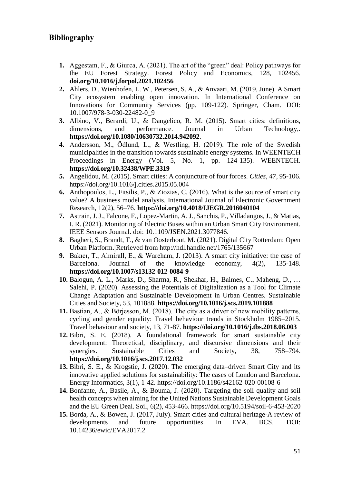# <span id="page-55-0"></span>**Bibliography**

- **1.** Aggestam, F., & Giurca, A. (2021). The art of the "green" deal: Policy pathways for the EU Forest Strategy. Forest Policy and Economics, 128, 102456. **[doi.org/10.1016/j.forpol.2021.102456](https://doi.org/10.1016/j.forpol.2021.102456)**
- **2.** Ahlers, D., Wienhofen, L. W., Petersen, S. A., & Anvaari, M. (2019, June). A Smart City ecosystem enabling open innovation. In International Conference on Innovations for Community Services (pp. 109-122). Springer, Cham. DOI: 10.1007/978-3-030-22482-0\_9
- **3.** Albino, V., Berardi, U., & Dangelico, R. M. (2015). Smart cities: definitions, dimensions, and performance. Journal in Urban Technology,. **<https://doi.org/10.1080/10630732.2014.942092>**.
- **4.** Andersson, M., Ödlund, L., & Westling, H. (2019). The role of the Swedish municipalities in the transition towards sustainable energy systems. In WEENTECH Proceedings in Energy (Vol. 5, No. 1, pp. 124-135). WEENTECH. **<https://doi.org/10.32438/WPE.3319>**
- **5.** Angelidou, M. (2015). Smart cities: A conjuncture of four forces. *Cities*, *47*, 95-106. https://doi.org/10.1016/j.cities.2015.05.004
- **6.** Anthopoulos, L., Fitsilis, P., & Ziozias, C. (2016). What is the source of smart city value? A business model analysis. International Journal of Electronic Government Research, 12(2), 56–76. **<https://doi.org/10.4018/IJEGR.2016040104>**
- **7.** Astrain, J. J., Falcone, F., Lopez-Martin, A. J., Sanchis, P., Villadangos, J., & Matias, I. R. (2021). Monitoring of Electric Buses within an Urban Smart City Environment. IEEE Sensors Journal. doi: 10.1109/JSEN.2021.3077846.
- **8.** Bagheri, S., Brandt, T., & van Oosterhout, M. (2021). Digital City Rotterdam: Open Urban Platform. Retrieved from http://hdl.handle.net/1765/135667
- **9.** Bakıcı, T., Almirall, E., & Wareham, J. (2013). A smart city initiative: the case of Barcelona. Journal of the knowledge economy, 4(2), 135-148. **<https://doi.org/10.1007/s13132-012-0084-9>**
- **10.** Balogun, A. L., Marks, D., Sharma, R., Shekhar, H., Balmes, C., Maheng, D., … Salehi, P. (2020). Assessing the Potentials of Digitalization as a Tool for Climate Change Adaptation and Sustainable Development in Urban Centres. Sustainable Cities and Society, 53, 101888. **<https://doi.org/10.1016/j.scs.2019.101888>**
- **11.** Bastian, A., & Börjesson, M. (2018). The city as a driver of new mobility patterns, cycling and gender equality: Travel behaviour trends in Stockholm 1985–2015. Travel behaviour and society, 13, 71-87. **<https://doi.org/10.1016/j.tbs.2018.06.003>**
- **12.** Bibri, S. E. (2018). A foundational framework for smart sustainable city development: Theoretical, disciplinary, and discursive dimensions and their synergies. Sustainable Cities and Society. 38, 758–794. **<https://doi.org/10.1016/j.scs.2017.12.032>**
- **13.** Bibri, S. E., & Krogstie, J. (2020). The emerging data–driven Smart City and its innovative applied solutions for sustainability: The cases of London and Barcelona. Energy Informatics, 3(1), 1-42. https://doi.org/10.1186/s42162-020-00108-6
- **14.** Bonfante, A., Basile, A., & Bouma, J. (2020). Targeting the soil quality and soil health concepts when aiming for the United Nations Sustainable Development Goals and the EU Green Deal. Soil, 6(2), 453-466. https://doi.org/10.5194/soil-6-453-2020
- **15.** Borda, A., & Bowen, J. (2017, July). Smart cities and cultural heritage-A review of developments and future opportunities. In EVA. BCS. DOI: 10.14236/ewic/EVA2017.2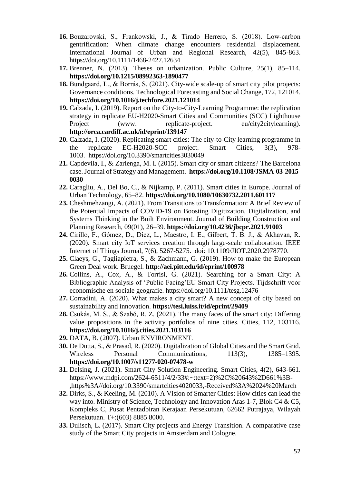- **16.** Bouzarovski, S., Frankowski, J., & Tirado Herrero, S. (2018). Low‐carbon gentrification: When climate change encounters residential displacement. International Journal of Urban and Regional Research, 42(5), 845-863. <https://doi.org/10.1111/1468-2427.12634>
- **17.** Brenner, N. (2013). Theses on urbanization. Public Culture, 25(1), 85–114. **<https://doi.org/10.1215/08992363-1890477>**
- **18.** Bundgaard, L., & Borrás, S. (2021). City-wide scale-up of smart city pilot projects: Governance conditions. Technological Forecasting and Social Change, 172, 121014. **<https://doi.org/10.1016/j.techfore.2021.121014>**
- **19.** Calzada, I. (2019). Report on the City-to-City-Learning Programme: the replication strategy in replicate EU-H2020-Smart Cities and Communities (SCC) Lighthouse Project (www. replicate-project. eu/city2citylearning). **<http://orca.cardiff.ac.uk/id/eprint/139147>**
- **20.** Calzada, I. (2020). Replicating smart cities: The city-to-City learning programme in the replicate EC-H2020-SCC project. Smart Cities, 3(3), 978- 1003. <https://doi.org/10.3390/smartcities3030049>
- **21.** Capdevila, I., & Zarlenga, M. I. (2015). Smart city or smart citizens? The Barcelona case. Journal of Strategy and Management. **[https://doi.org/10.1108/JSMA-03-2015-](https://doi.org/10.1108/JSMA-03-2015-0030) [0030](https://doi.org/10.1108/JSMA-03-2015-0030)**
- **22.** Caragliu, A., Del Bo, C., & Nijkamp, P. (2011). Smart cities in Europe. Journal of Urban Technology, 65–82. **<https://doi.org/10.1080/10630732.2011.601117>**
- **23.** Cheshmehzangi, A. (2021). From Transitions to Transformation: A Brief Review of the Potential Impacts of COVID-19 on Boosting Digitization, Digitalization, and Systems Thinking in the Built Environment. Journal of Building Construction and Planning Research, 09(01), 26–39. **<https://doi.org/10.4236/jbcpr.2021.91003>**
- **24.** Cirillo, F., Gómez, D., Diez, L., Maestro, I. E., Gilbert, T. B. J., & Akhavan, R. (2020). Smart city IoT services creation through large-scale collaboration. IEEE Internet of Things Journal, 7(6), 5267-5275. doi: 10.1109/JIOT.2020.2978770.
- **25.** Claeys, G., Tagliapietra, S., & Zachmann, G. (2019). How to make the European Green Deal work. Bruegel. **<http://aei.pitt.edu/id/eprint/100978>**
- **26.** Collins, A., Cox, A., & Torrisi, G. (2021). Searching for a Smart City: A Bibliographic Analysis of 'Public Facing'EU Smart City Projects. Tijdschrift voor economische en sociale geografie.<https://doi.org/10.1111/tesg.12476>
- **27.** Corradini, A. (2020). What makes a city smart? A new concept of city based on sustainability and innovation. **<https://tesi.luiss.it/id/eprint/29409>**
- **28.** Csukás, M. S., & Szabó, R. Z. (2021). The many faces of the smart city: Differing value propositions in the activity portfolios of nine cities. Cities, 112, 103116. **<https://doi.org/10.1016/j.cities.2021.103116>**
- **29.** DATA, B. (2007). Urban ENVIRONMENT.
- **30.** De Dutta, S., & Prasad, R. (2020). Digitalization of Global Cities and the Smart Grid. Wireless Personal Communications, 113(3), 1385–1395. **<https://doi.org/10.1007/s11277-020-07478-w>**
- **31.** Delsing, J. (2021). Smart City Solution Engineering. Smart Cities, 4(2), 643-661. https://www.mdpi.com/2624-6511/4/2/33#:~:text=2)%2C%20643%2D661%3B- ,https%3A//doi.org/10.3390/smartcities4020033,-Received%3A%2024%20March
- **32.** Dirks, S., & Keeling, M. (2010). A Vision of Smarter Cities: How cities can lead the way into. Ministry of Science, Technology and Innovation Aras 1-7, Blok C4 & C5, Kompleks C, Pusat Pentadbiran Kerajaan Persekutuan, 62662 Putrajaya, Wilayah Persekutuan. T+:(603) 8885 8000.
- **33.** Dulisch, L. (2017). Smart City projects and Energy Transition. A comparative case study of the Smart City projects in Amsterdam and Cologne.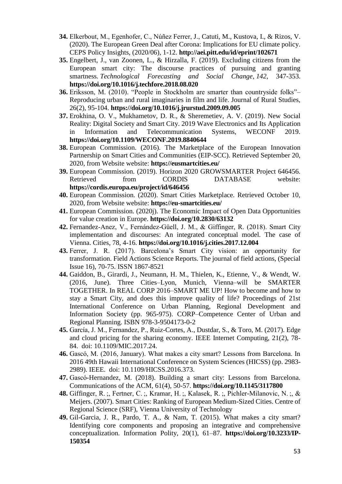- **34.** Elkerbout, M., Egenhofer, C., Núñez Ferrer, J., Catuti, M., Kustova, I., & Rizos, V. (2020). The European Green Deal after Corona: Implications for EU climate policy. CEPS Policy Insights, (2020/06), 1-12. **<http://aei.pitt.edu/id/eprint/102671>**
- **35.** Engelbert, J., van Zoonen, L., & Hirzalla, F. (2019). Excluding citizens from the European smart city: The discourse practices of pursuing and granting smartness. *Technological Forecasting and Social Change*, *142*, 347-353. **<https://doi.org/10.1016/j.techfore.2018.08.020>**
- **36.** Eriksson, M. (2010). "People in Stockholm are smarter than countryside folks"– Reproducing urban and rural imaginaries in film and life. Journal of Rural Studies, 26(2), 95-104. **<https://doi.org/10.1016/j.jrurstud.2009.09.005>**
- **37.** Erokhina, O. V., Mukhametov, D. R., & Sheremetiev, A. V. (2019). New Social Reality: Digital Society and Smart City. 2019 Wave Electronics and Its Application in Information and Telecommunication Systems, WECONF 2019. **<https://doi.org/10.1109/WECONF.2019.8840644>**
- **38.** European Commission. (2016). The Marketplace of the European Innovation Partnership on Smart Cities and Communities (EIP-SCC). Retrieved September 20, 2020, from Website website: **<https://eusmartcities.eu/>**
- **39.** European Commission. (2019). Horizon 2020 GROWSMARTER Project 646456. Retrieved from CORDIS DATABASE website: **<https://cordis.europa.eu/project/id/646456>**
- **40.** European Commission. (2020). Smart Cities Marketplace. Retrieved October 10, 2020, from Website website: **<https://eu-smartcities.eu/>**
- **41.** European Commission. (2020j). The Economic Impact of Open Data Opportunities for value creation in Europe. **<https://doi.org/10.2830/63132>**
- **42.** Fernandez-Anez, V., Fernández-Güell, J. M., & Giffinger, R. (2018). Smart City implementation and discourses: An integrated conceptual model. The case of Vienna. Cities, 78, 4-16. **<https://doi.org/10.1016/j.cities.2017.12.004>**
- **43.** Ferrer, J. R. (2017). Barcelona's Smart City vision: an opportunity for transformation. Field Actions Science Reports. The journal of field actions, (Special Issue 16), 70-75. ISSN 1867-8521
- **44.** Gaiddon, B., Girardi, J., Neumann, H. M., Thielen, K., Etienne, V., & Wendt, W. (2016, June). Three Cities–Lyon, Munich, Vienna–will be SMARTER TOGETHER. In REAL CORP 2016–SMART ME UP! How to become and how to stay a Smart City, and does this improve quality of life? Proceedings of 21st International Conference on Urban Planning, Regional Development and Information Society (pp. 965-975). CORP–Competence Center of Urban and Regional Planning. ISBN 978-3-9504173-0-2
- **45.** García, J. M., Fernandez, P., Ruiz-Cortes, A., Dustdar, S., & Toro, M. (2017). Edge and cloud pricing for the sharing economy. IEEE Internet Computing, 21(2), 78- 84. doi: 10.1109/MIC.2017.24.
- **46.** Gascó, M. (2016, January). What makes a city smart? Lessons from Barcelona. In 2016 49th Hawaii International Conference on System Sciences (HICSS) (pp. 2983- 2989). IEEE. doi: 10.1109/HICSS.2016.373.
- **47.** Gascó-Hernandez, M. (2018). Building a smart city: Lessons from Barcelona. Communications of the ACM, 61(4), 50-57. **<https://doi.org/10.1145/3117800>**
- **48.** Giffinger, R. ;, Fertner, C. ;, Kramar, H. ;, Kalasek, R. ;, Pichler-Milanovic, N. ;, & Meijers. (2007). Smart Cities: Ranking of European Medium-Sized Cities. Centre of Regional Science (SRF), Vienna University of Technology
- **49.** Gil-Garcia, J. R., Pardo, T. A., & Nam, T. (2015). What makes a city smart? Identifying core components and proposing an integrative and comprehensive conceptualization. Information Polity, 20(1), 61–87. **[https://doi.org/10.3233/IP-](https://doi.org/10.3233/IP-150354)[150354](https://doi.org/10.3233/IP-150354)**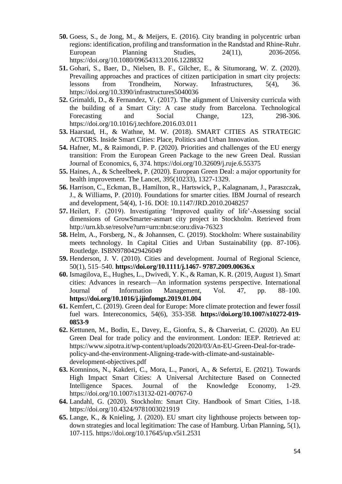- **50.** Goess, S., de Jong, M., & Meijers, E. (2016). City branding in polycentric urban regions: identification, profiling and transformation in the Randstad and Rhine-Ruhr. European Planning Studies, 24(11), 2036-2056. https://doi.org/10.1080/09654313.2016.1228832
- **51.** Gohari, S., Baer, D., Nielsen, B. F., Gilcher, E., & Situmorang, W. Z. (2020). Prevailing approaches and practices of citizen participation in smart city projects: lessons from Trondheim, Norway. Infrastructures, 5(4), 36. https://doi.org/10.3390/infrastructures5040036
- **52.** Grimaldi, D., & Fernandez, V. (2017). The alignment of University curricula with the building of a Smart City: A case study from Barcelona. Technological Forecasting and Social Change, 123, 298-306. https://doi.org/10.1016/j.techfore.2016.03.011
- **53.** Haarstad, H., & Wathne, M. W. (2018). SMART CITIES AS STRATEGIC ACTORS. Inside Smart Cities: Place, Politics and Urban Innovation.
- **54.** Hafner, M., & Raimondi, P. P. (2020). Priorities and challenges of the EU energy transition: From the European Green Package to the new Green Deal. Russian Journal of Economics, 6, 374. https://doi.org/10.32609/j.ruje.6.55375
- **55.** Haines, A., & Scheelbeek, P. (2020). European Green Deal: a major opportunity for health improvement. The Lancet, 395(10233), 1327-1329.
- **56.** Harrison, C., Eckman, B., Hamilton, R., Hartswick, P., Kalagnanam, J., Paraszczak, J., & Williams, P. (2010). Foundations for smarter cities. IBM Journal of research and development, 54(4), 1-16. DOI: 10.1147/JRD.2010.2048257
- **57.** Heilert, F. (2019). Investigating 'Improved quality of life'-Assessing social dimensions of GrowSmarter-asmart city project in Stockholm. Retrieved from http://urn.kb.se/resolve?urn=urn:nbn:se:oru:diva-76323
- **58.** Helm, A., Forsberg, N., & Johannsen, C. (2019). Stockholm: Where sustainability meets technology. In Capital Cities and Urban Sustainability (pp. 87-106). Routledge. ISBN9780429426049
- **59.** Henderson, J. V. (2010). Cities and development. Journal of Regional Science, 50(1), 515–540. **[https://doi.org/10.1111/j.1467-](https://doi.org/10.1111/j.1467-%209787.2009.00636.x) 9787.2009.00636.x**
- **60.** Ismagilova, E., Hughes, L., Dwivedi, Y. K., & Raman, K. R. (2019, August 1). Smart cities: Advances in research—An information systems perspective. International Journal of Information Management, Vol. 47, pp. 88–100. **<https://doi.org/10.1016/j.ijinfomgt.2019.01.004>**
- **61.** Kemfert, C. (2019). Green deal for Europe: More climate protection and fewer fossil fuel wars. Intereconomics, 54(6), 353-358. **[https://doi.org/10.1007/s10272-019-](https://doi.org/10.1007/s10272-019-0853-9) [0853-9](https://doi.org/10.1007/s10272-019-0853-9)**
- **62.** Kettunen, M., Bodin, E., Davey, E., Gionfra, S., & Charveriat, C. (2020). An EU Green Deal for trade policy and the environment. London: IEEP. Retrieved at: https://www.sipotra.it/wp-content/uploads/2020/03/An-EU-Green-Deal-for-tradepolicy-and-the-environment-Aligning-trade-with-climate-and-sustainabledevelopment-objectives.pdf
- **63.** Komninos, N., Kakderi, C., Mora, L., Panori, A., & Sefertzi, E. (2021). Towards High Impact Smart Cities: A Universal Architecture Based on Connected Intelligence Spaces. Journal of the Knowledge Economy, 1-29. https://doi.org/10.1007/s13132-021-00767-0
- **64.** Landahl, G. (2020). Stockholm: Smart City. Handbook of Smart Cities, 1-18. https://doi.org/10.4324/9781003021919
- **65.** Lange, K., & Knieling, J. (2020). EU smart city lighthouse projects between topdown strategies and local legitimation: The case of Hamburg. Urban Planning, 5(1), 107-115. https://doi.org/10.17645/up.v5i1.2531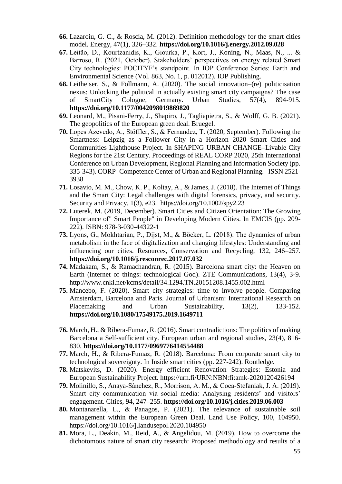- **66.** Lazaroiu, G. C., & Roscia, M. (2012). Definition methodology for the smart cities model. Energy, 47(1), 326–332. **<https://doi.org/10.1016/j.energy.2012.09.028>**
- **67.** Leitão, D., Kourtzanidis, K., Giourka, P., Kort, J., Koning, N., Maas, N., ... & Barroso, R. (2021, October). Stakeholders' perspectives on energy related Smart City technologies: POCITYF's standpoint. In IOP Conference Series: Earth and Environmental Science (Vol. 863, No. 1, p. 012012). IOP Publishing.
- **68.** Leitheiser, S., & Follmann, A. (2020). The social innovation–(re) politicisation nexus: Unlocking the political in actually existing smart city campaigns? The case of SmartCity Cologne, Germany. Urban Studies, 57(4), 894-915. **[https://doi.org/10.1177/0042098019869820](https://doi.org/10.1177%2F0042098019869820)**
- **69.** Leonard, M., Pisani-Ferry, J., Shapiro, J., Tagliapietra, S., & Wolff, G. B. (2021). The geopolitics of the European green deal. Bruegel.
- **70.** Lopes Azevedo, A., Stöffler, S., & Fernandez, T. (2020, September). Following the Smartness: Leipzig as a Follower City in a Horizon 2020 Smart Cities and Communities Lighthouse Project. In SHAPING URBAN CHANGE–Livable City Regions for the 21st Century. Proceedings of REAL CORP 2020, 25th International Conference on Urban Development, Regional Planning and Information Society (pp. 335-343). CORP–Competence Center of Urban and Regional Planning. ISSN 2521- 3938
- **71.** Losavio, M. M., Chow, K. P., Koltay, A., & James, J. (2018). The Internet of Things and the Smart City: Legal challenges with digital forensics, privacy, and security. Security and Privacy, 1(3), e23. <https://doi.org/10.1002/spy2.23>
- **72.** Luterek, M. (2019, December). Smart Cities and Citizen Orientation: The Growing Importance of" Smart People" in Developing Modern Cities. In EMCIS (pp. 209- 222). ISBN: 978-3-030-44322-1
- **73.** Lyons, G., Mokhtarian, P., Dijst, M., & Böcker, L. (2018). The dynamics of urban metabolism in the face of digitalization and changing lifestyles: Understanding and influencing our cities. Resources, Conservation and Recycling, 132, 246–257. **<https://doi.org/10.1016/j.resconrec.2017.07.032>**
- **74.** Madakam, S., & Ramachandran, R. (2015). Barcelona smart city: the Heaven on Earth (internet of things: technological God). ZTE Communications, 13(4), 3-9. http://www.cnki.net/kcms/detail/34.1294.TN.20151208.1455.002.html
- **75.** Mancebo, F. (2020). Smart city strategies: time to involve people. Comparing Amsterdam, Barcelona and Paris. Journal of Urbanism: International Research on Placemaking and Urban Sustainability, 13(2), 133-152. **<https://doi.org/10.1080/17549175.2019.1649711>**
- **76.** March, H., & Ribera-Fumaz, R. (2016). Smart contradictions: The politics of making Barcelona a Self-sufficient city. European urban and regional studies, 23(4), 816- 830. **[https://doi.org/10.1177/0969776414554488](https://doi.org/10.1177%2F0969776414554488)**
- **77.** March, H., & Ribera-Fumaz, R. (2018). Barcelona: From corporate smart city to technological sovereignty. In Inside smart cities (pp. 227-242). Routledge.
- **78.** Matskevits, D. (2020). Energy efficient Renovation Strategies: Estonia and European Sustainability Project. https://urn.fi/URN:NBN:fi:amk-2020120426194
- **79.** Molinillo, S., Anaya-Sánchez, R., Morrison, A. M., & Coca-Stefaniak, J. A. (2019). Smart city communication via social media: Analysing residents' and visitors' engagement. Cities, 94, 247–255. **<https://doi.org/10.1016/j.cities.2019.06.003>**
- **80.** Montanarella, L., & Panagos, P. (2021). The relevance of sustainable soil management within the European Green Deal. Land Use Policy, 100, 104950. https://doi.org/10.1016/j.landusepol.2020.104950
- **81.** Mora, L., Deakin, M., Reid, A., & Angelidou, M. (2019). How to overcome the dichotomous nature of smart city research: Proposed methodology and results of a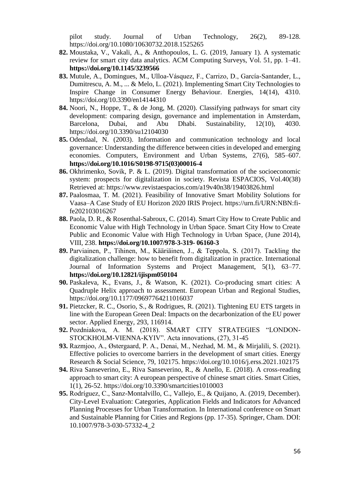pilot study. Journal of Urban Technology, 26(2), 89-128. https://doi.org/10.1080/10630732.2018.1525265

- **82.** Moustaka, V., Vakali, A., & Anthopoulos, L. G. (2019, January 1). A systematic review for smart city data analytics. ACM Computing Surveys, Vol. 51, pp. 1–41. **<https://doi.org/10.1145/3239566>**
- **83.** Mutule, A., Domingues, M., Ulloa-Vásquez, F., Carrizo, D., García-Santander, L., Dumitrescu, A. M., ... & Melo, L. (2021). Implementing Smart City Technologies to Inspire Change in Consumer Energy Behaviour. Energies, 14(14), 4310. <https://doi.org/10.3390/en14144310>
- **84.** Noori, N., Hoppe, T., & de Jong, M. (2020). Classifying pathways for smart city development: comparing design, governance and implementation in Amsterdam, Barcelona, Dubai, and Abu Dhabi. Sustainability, 12(10), 4030. https://doi.org/10.3390/su12104030
- **85.** Odendaal, N. (2003). Information and communication technology and local governance: Understanding the difference between cities in developed and emerging economies. Computers, Environment and Urban Systems, 27(6), 585–607. **[https://doi.org/10.1016/S0198-9715\(03\)00016-4](https://doi.org/10.1016/S0198-9715(03)00016-4)**
- **86.** Okhrimenko, Sovik, P. & L. (2019). Digital transformation of the socioeconomic system: prospects for digitalization in society. Revista ESPACIOS, Vol.40(38) Retrieved at: https://www.revistaespacios.com/a19v40n38/19403826.html
- **87.** Paalosmaa, T. M. (2021). Feasibility of Innovative Smart Mobility Solutions for Vaasa–A Case Study of EU Horizon 2020 IRIS Project. https://urn.fi/URN:NBN:fife202103016267
- **88.** Paola, D. R., & Rosenthal-Sabroux, C. (2014). Smart City How to Create Public and Economic Value with High Technology in Urban Space. Smart City How to Create Public and Economic Value with High Technology in Urban Space, (June 2014), VIII, 238. **[https://doi.org/10.1007/978-3-319-](https://doi.org/10.1007/978-3-319-%2006160-3) 06160-3**
- **89.** Parviainen, P., Tihinen, M., Kääriäinen, J., & Teppola, S. (2017). Tackling the digitalization challenge: how to benefit from digitalization in practice. International Journal of Information Systems and Project Management, 5(1), 63–77. **<https://doi.org/10.12821/ijispm050104>**
- **90.** Paskaleva, K., Evans, J., & Watson, K. (2021). Co-producing smart cities: A Quadruple Helix approach to assessment. European Urban and Regional Studies, https://doi.org/10.1177/09697764211016037
- **91.** Pietzcker, R. C., Osorio, S., & Rodrigues, R. (2021). Tightening EU ETS targets in line with the European Green Deal: Impacts on the decarbonization of the EU power sector. Applied Energy, 293, 116914.
- **92.** Pozdniakova, A. M. (2018). SMART CITY STRATEGIES "LONDON-STOCKHOLM-VIENNA-KYIV". Acta innovations, (27), 31-45
- **93.** Razmjoo, A., Østergaard, P. A., Denai, M., Nezhad, M. M., & Mirjalili, S. (2021). Effective policies to overcome barriers in the development of smart cities. Energy Research & Social Science, 79, 102175. https://doi.org/10.1016/j.erss.2021.102175
- **94.** Riva Sanseverino, E., Riva Sanseverino, R., & Anello, E. (2018). A cross-reading approach to smart city: A european perspective of chinese smart cities. Smart Cities, 1(1), 26-52. https://doi.org/10.3390/smartcities1010003
- **95.** Rodríguez, C., Sanz-Montalvillo, C., Vallejo, E., & Quijano, A. (2019, December). City-Level Evaluation: Categories, Application Fields and Indicators for Advanced Planning Processes for Urban Transformation. In International conference on Smart and Sustainable Planning for Cities and Regions (pp. 17-35). Springer, Cham. DOI: 10.1007/978-3-030-57332-4\_2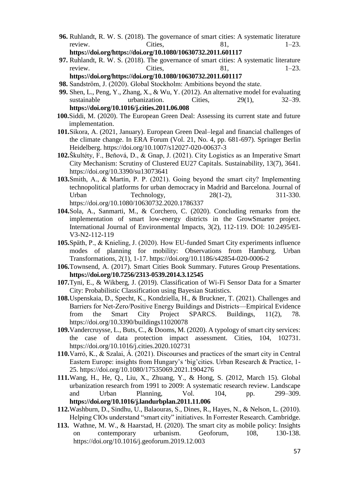- **96.** Ruhlandt, R. W. S. (2018). The governance of smart cities: A systematic literature review. Cities,  $81,$   $1-23.$ **[https://doi.org/https://doi.org/10.1080/10630732.2011.601117](https://doi.org/https:/doi.org/10.1080/10630732.2011.601117)**
- **97.** Ruhlandt, R. W. S. (2018). The governance of smart cities: A systematic literature review. Cities,  $81,$   $1-23.$ **[https://doi.org/https://doi.org/10.1080/10630732.2011.601117](https://doi.org/https:/doi.org/10.1080/10630732.2011.601117)**
- **98.** Sandström, J. (2020). Global Stockholm: Ambitions beyond the state.
- **99.** Shen, L., Peng, Y., Zhang, X., & Wu, Y. (2012). An alternative model for evaluating sustainable urbanization. Cities, 29(1), 32–39. **<https://doi.org/10.1016/j.cities.2011.06.008>**
- **100.**Siddi, M. (2020). The European Green Deal: Assessing its current state and future implementation.
- **101.**Sikora, A. (2021, January). European Green Deal–legal and financial challenges of the climate change. In ERA Forum (Vol. 21, No. 4, pp. 681-697). Springer Berlin Heidelberg. https://doi.org/10.1007/s12027-020-00637-3
- **102.**Škultéty, F., Beňová, D., & Gnap, J. (2021). City Logistics as an Imperative Smart City Mechanism: Scrutiny of Clustered EU27 Capitals. Sustainability, 13(7), 3641. https://doi.org/10.3390/su13073641
- **103.**Smith, A., & Martín, P. P. (2021). Going beyond the smart city? Implementing technopolitical platforms for urban democracy in Madrid and Barcelona. Journal of Urban Technology, 28(1-2), 311-330. https://doi.org/10.1080/10630732.2020.1786337
- **104.**Sola, A., Sanmarti, M., & Corchero, C. (2020). Concluding remarks from the implementation of smart low-energy districts in the GrowSmarter project. International Journal of Environmental Impacts, 3(2), 112-119. DOI: 10.2495/EI-V3-N2-112-119
- **105.**Späth, P., & Knieling, J. (2020). How EU-funded Smart City experiments influence modes of planning for mobility: Observations from Hamburg. Urban Transformations, 2(1), 1-17. https://doi.org/10.1186/s42854-020-0006-2
- **106.**Townsend, A. (2017). Smart Cities Book Summary. Futures Group Presentations. **<https://doi.org/10.7256/2313-0539.2014.3.12545>**
- **107.**Tyni, E., & Wikberg, J. (2019). Classification of Wi-Fi Sensor Data for a Smarter City: Probabilistic Classification using Bayesian Statistics.
- **108.**Uspenskaia, D., Specht, K., Kondziella, H., & Bruckner, T. (2021). Challenges and Barriers for Net‐Zero/Positive Energy Buildings and Districts—Empirical Evidence from the Smart City Project SPARCS. Buildings, 11(2), 78. https://doi.org/10.3390/buildings11020078
- **109.**Vandercruysse, L., Buts, C., & Dooms, M. (2020). A typology of smart city services: the case of data protection impact assessment. Cities, 104, 102731. https://doi.org/10.1016/j.cities.2020.102731
- **110.**Varró, K., & Szalai, Á. (2021). Discourses and practices of the smart city in Central Eastern Europe: insights from Hungary's 'big'cities. Urban Research & Practice, 1- 25. https://doi.org/10.1080/17535069.2021.1904276
- **111.**Wang, H., He, Q., Liu, X., Zhuang, Y., & Hong, S. (2012, March 15). Global urbanization research from 1991 to 2009: A systematic research review. Landscape and Urban Planning, Vol. 104, pp. 299–309. **<https://doi.org/10.1016/j.landurbplan.2011.11.006>**
- **112.**Washburn, D., Sindhu, U., Balaouras, S., Dines, R., Hayes, N., & Nelson, L. (2010). Helping CIOs understand "smart city" initiatives. In Forrester Research. Cambridge.
- **113.** Wathne, M. W., & Haarstad, H. (2020). The smart city as mobile policy: Insights on contemporary urbanism. Geoforum, 108, 130-138. https://doi.org/10.1016/j.geoforum.2019.12.003